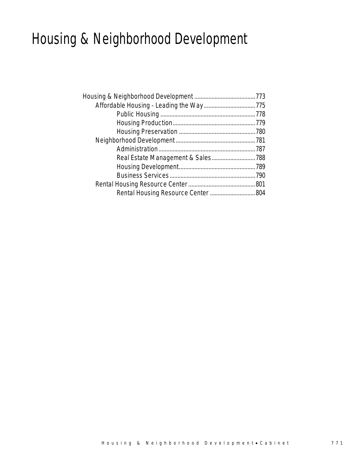# Housing & Neighborhood Development

| Rental Housing Resource Center  804 |  |
|-------------------------------------|--|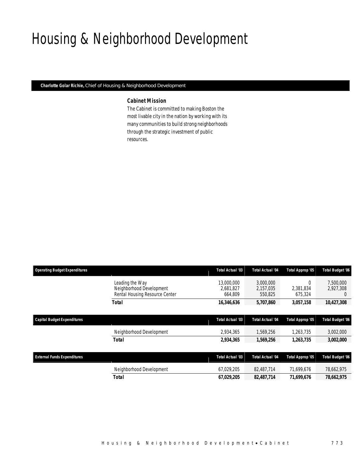# Housing & Neighborhood Development

*Charlotte Golar Richie, Chief of Housing & Neighborhood Development* 

#### *Cabinet Mission*

The Cabinet is committed to making Boston the most livable city in the nation by working with its many communities to build strong neighborhoods through the strategic investment of public resources.

| <b>Operating Budget Expenditures</b> |                                                                               | Total Actual '03                   | <b>Total Actual '04</b>           | Total Approp '05          | <b>Total Budget '06</b>          |
|--------------------------------------|-------------------------------------------------------------------------------|------------------------------------|-----------------------------------|---------------------------|----------------------------------|
|                                      | Leading the Way<br>Neighborhood Development<br>Rental Housing Resource Center | 13,000,000<br>2.681.827<br>664.809 | 3,000,000<br>2,157,035<br>550,825 | 0<br>2,381,834<br>675,324 | 7,500,000<br>2,927,308<br>$\cup$ |
|                                      | <b>Total</b>                                                                  | 16,346,636                         | 5,707,860                         | 3,057,158                 | 10,427,308                       |
|                                      |                                                                               |                                    |                                   |                           |                                  |
| Capital Budget Expenditures          |                                                                               | Total Actual '03                   | Total Actual '04                  | Total Approp '05          | <b>Total Budget '06</b>          |
|                                      | Neighborhood Development                                                      | 2,934,365                          | 1,569,256                         | 1,263,735                 | 3,002,000                        |
|                                      | <b>Total</b>                                                                  | 2,934,365                          | 1,569,256                         | 1,263,735                 | 3,002,000                        |
|                                      |                                                                               |                                    |                                   |                           |                                  |
| <b>External Funds Expenditures</b>   |                                                                               | Total Actual '03                   | <b>Total Actual '04</b>           | Total Approp '05          | <b>Total Budget '06</b>          |
|                                      | Neighborhood Development                                                      | 67,029,205                         | 82,487,714                        | 71,699,676                | 78,662,975                       |
|                                      | Total                                                                         | 67,029,205                         | 82,487,714                        | 71,699,676                | 78,662,975                       |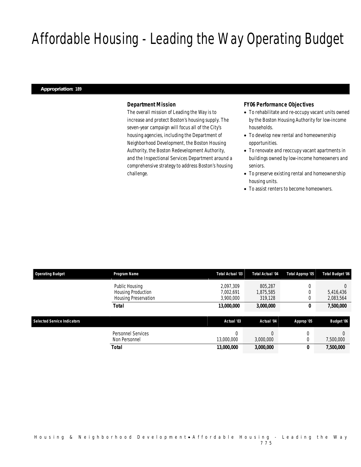# Affordable Housing - Leading the Way Operating Budget

#### *Appropriation: 189*

#### *Department Mission*

The overall mission of Leading the Way is to increase and protect Boston's housing supply. The seven-year campaign will focus all of the City's housing agencies, including the Department of Neighborhood Development, the Boston Housing Authority, the Boston Redevelopment Authority, and the Inspectional Services Department around a comprehensive strategy to address Boston's housing challenge.

#### *FY06 Performance Objectives*

- To rehabilitate and re-occupy vacant units owned by the Boston Housing Authority for low-income households.
- To develop new rental and homeownership opportunities.
- To renovate and reoccupy vacant apartments in buildings owned by low-income homeowners and seniors.
- To preserve existing rental and homeownership housing units.
- To assist renters to become homeowners.

| <b>Operating Budget</b>            | Program Name                                                               | Total Actual '03                    | <b>Total Actual '04</b>         | Total Approp '05 | <b>Total Budget '06</b> |
|------------------------------------|----------------------------------------------------------------------------|-------------------------------------|---------------------------------|------------------|-------------------------|
|                                    | Public Housing<br><b>Housing Production</b><br><b>Housing Preservation</b> | 2.097.309<br>7.002.691<br>3,900,000 | 805.287<br>1,875,585<br>319.128 | $\Omega$         | 5,416,436<br>2,083,564  |
|                                    | <b>Total</b>                                                               | 13,000,000                          | 3,000,000                       |                  | 7,500,000               |
|                                    |                                                                            |                                     |                                 |                  |                         |
|                                    |                                                                            |                                     |                                 |                  |                         |
| <b>Selected Service Indicators</b> |                                                                            | Actual '03                          | Actual '04                      | Approp '05       | Budget '06              |
|                                    | Personnel Services                                                         |                                     |                                 |                  |                         |
|                                    | Non Personnel                                                              | 13,000,000                          | 3,000,000                       |                  | 7,500,000               |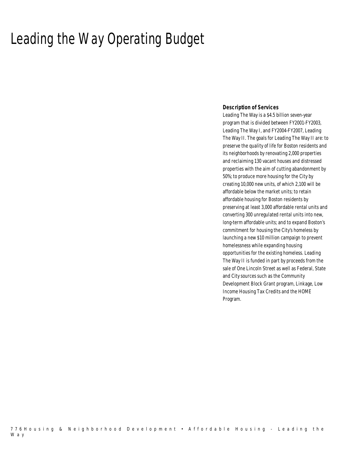# Leading the Way Operating Budget

#### *Description of Services*

Leading The Way is a \$4.5 billion seven-year program that is divided between FY2001-FY2003, Leading The Way I, and FY2004-FY2007, Leading The Way II. The goals for Leading The Way II are: to preserve the quality of life for Boston residents and its neighborhoods by renovating 2,000 properties and reclaiming 130 vacant houses and distressed properties with the aim of cutting abandonment by 50%; to produce more housing for the City by creating 10,000 new units, of which 2,100 will be affordable below the market units; to retain affordable housing for Boston residents by preserving at least 3,000 affordable rental units and converting 300 unregulated rental units into new, long-term affordable units; and to expand Boston's commitment for housing the City's homeless by launching a new \$10 million campaign to prevent homelessness while expanding housing opportunities for the existing homeless. Leading The Way II is funded in part by proceeds from the sale of One Lincoln Street as well as Federal, State and City sources such as the Community Development Block Grant program, Linkage, Low Income Housing Tax Credits and the HOME Program.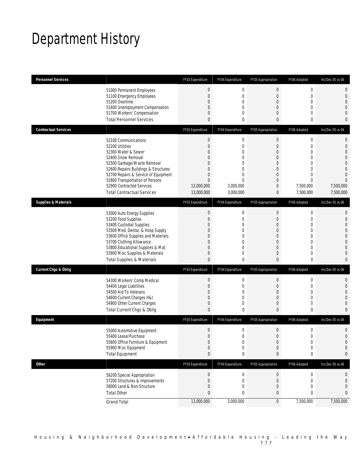# Department History

| <b>Personnel Services</b>       |                                                                                                                                                                                                                                                                                                          | FY03 Expenditure                                                                                                                                     | FY04 Expenditure                                                                                                                                            | FY05 Appropriation                                                                                                                                     | FY06 Adopted                                                                                                                             | Inc/Dec 05 vs 06                                                                                                                            |
|---------------------------------|----------------------------------------------------------------------------------------------------------------------------------------------------------------------------------------------------------------------------------------------------------------------------------------------------------|------------------------------------------------------------------------------------------------------------------------------------------------------|-------------------------------------------------------------------------------------------------------------------------------------------------------------|--------------------------------------------------------------------------------------------------------------------------------------------------------|------------------------------------------------------------------------------------------------------------------------------------------|---------------------------------------------------------------------------------------------------------------------------------------------|
|                                 | 51000 Permanent Employees<br>51100 Emergency Employees<br>51200 Overtime<br>51600 Unemployment Compensation<br>51700 Workers' Compensation<br><b>Total Personnel Services</b>                                                                                                                            | $\boldsymbol{0}$<br>$\mathbf 0$<br>$\mathbf{0}$<br>$\mathbf{0}$<br>$\mathbf 0$<br>$\theta$                                                           | $\boldsymbol{0}$<br>$\mathbf 0$<br>$\mathbf{0}$<br>$\mathbf 0$<br>$\mathbf{0}$<br>$\theta$                                                                  | $\mathbf 0$<br>$\mathbf{0}$<br>$\overline{0}$<br>$\mathbf 0$<br>$\mathbf{0}$<br>0                                                                      | $\mathbf 0$<br>$\mathbf 0$<br>$\mathbf{0}$<br>$\mathbf{0}$<br>$\mathbf{0}$<br>0                                                          | $\mathbf 0$<br>$\mathbf 0$<br>$\mathbf{0}$<br>$\boldsymbol{0}$<br>$\mathbf 0$<br>$\mathbf{0}$                                               |
| <b>Contractual Services</b>     |                                                                                                                                                                                                                                                                                                          | FY03 Expenditure                                                                                                                                     | FY04 Expenditure                                                                                                                                            | FY05 Appropriation                                                                                                                                     | FY06 Adopted                                                                                                                             | Inc/Dec 05 vs 06                                                                                                                            |
|                                 | 52100 Communications<br>52200 Utilities<br>52300 Water & Sewer<br>52400 Snow Removal<br>52500 Garbage/Waste Removal<br>52600 Repairs Buildings & Structures<br>52700 Repairs & Service of Equipment<br>52800 Transportation of Persons<br>52900 Contracted Services<br><b>Total Contractual Services</b> | $\boldsymbol{0}$<br>$\mathbf{0}$<br>$\mathbf{0}$<br>$\mathbf{0}$<br>$\Omega$<br>$\Omega$<br>$\mathbf{0}$<br>$\mathbf{0}$<br>13,000,000<br>13,000,000 | $\boldsymbol{0}$<br>$\mathbf 0$<br>$\mathbf{0}$<br>$\mathbf{0}$<br>$\mathbf{0}$<br>$\mathbf{0}$<br>$\mathbf{0}$<br>$\overline{0}$<br>3,000,000<br>3,000,000 | $\boldsymbol{0}$<br>$\mathbf{0}$<br>$\overline{0}$<br>$\overline{0}$<br>$\overline{0}$<br>$\overline{0}$<br>$\overline{0}$<br>$\overline{0}$<br>0<br>0 | $\mathbf 0$<br>$\mathbf{0}$<br>$\mathbf 0$<br>$\mathbf{0}$<br>$\mathbf{0}$<br>$\Omega$<br>$\Omega$<br>$\Omega$<br>7,500,000<br>7,500,000 | 0<br>$\boldsymbol{0}$<br>$\boldsymbol{0}$<br>$\mathbf{0}$<br>$\boldsymbol{0}$<br>$\theta$<br>$\Omega$<br>$\Omega$<br>7,500,000<br>7,500,000 |
| <b>Supplies &amp; Materials</b> |                                                                                                                                                                                                                                                                                                          | FY03 Expenditure                                                                                                                                     | FY04 Expenditure                                                                                                                                            | FY05 Appropriation                                                                                                                                     | FY06 Adopted                                                                                                                             | Inc/Dec 05 vs 06                                                                                                                            |
|                                 | 53000 Auto Energy Supplies<br>53200 Food Supplies<br>53400 Custodial Supplies<br>53500 Med, Dental, & Hosp Supply<br>53600 Office Supplies and Materials<br>53700 Clothing Allowance<br>53800 Educational Supplies & Mat<br>53900 Misc Supplies & Materials<br><b>Total Supplies &amp; Materials</b>     | $\boldsymbol{0}$<br>$\overline{0}$<br>$\mathbf{0}$<br>$\mathbf{0}$<br>$\mathbf{0}$<br>$\mathbf{0}$<br>$\overline{0}$<br>$\mathbf{0}$<br>$\mathbf{0}$ | $\mathbf 0$<br>$\mathbf 0$<br>$\mathbf 0$<br>$\mathbf 0$<br>$\mathbf{0}$<br>$\overline{0}$<br>$\mathbf{0}$<br>$\mathbf 0$<br>$\mathbf 0$                    | $\boldsymbol{0}$<br>$\mathbf{0}$<br>$\overline{0}$<br>$\mathbf{0}$<br>$\mathbf{0}$<br>$\overline{0}$<br>$\overline{0}$<br>$\overline{0}$<br>0          | $\mathbf 0$<br>$\mathbf{0}$<br>$\mathbf{0}$<br>$\mathbf{0}$<br>$\mathbf{0}$<br>0<br>$\mathbf{0}$<br>$\mathbf{0}$<br>0                    | 0<br>$\mathbf 0$<br>$\boldsymbol{0}$<br>$\boldsymbol{0}$<br>$\mathbf{0}$<br>$\theta$<br>$\boldsymbol{0}$<br>$\theta$<br>$\mathbf{0}$        |
| <b>Current Chgs &amp; Oblig</b> |                                                                                                                                                                                                                                                                                                          | FY03 Expenditure                                                                                                                                     | FY04 Expenditure                                                                                                                                            | FY05 Appropriation                                                                                                                                     | FY06 Adopted                                                                                                                             | Inc/Dec 05 vs 06                                                                                                                            |
|                                 | 54300 Workers' Comp Medical<br>54400 Legal Liabilities<br>54500 Aid To Veterans<br>54600 Current Charges H&I<br>54900 Other Current Charges<br>Total Current Chgs & Oblig                                                                                                                                | $\boldsymbol{0}$<br>$\overline{0}$<br>$\mathbf{0}$<br>$\overline{0}$<br>$\mathbf 0$<br>$\mathbf{0}$                                                  | $\boldsymbol{0}$<br>$\mathbf 0$<br>$\mathbf 0$<br>$\mathbf{0}$<br>$\mathbf 0$<br>$\mathbf{0}$                                                               | $\mathbf 0$<br>$\mathbf 0$<br>$\overline{0}$<br>$\mathbf{0}$<br>$\mathbf{0}$<br>$\Omega$                                                               | $\mathbf 0$<br>$\mathbf{0}$<br>$\mathbf{0}$<br>$\mathbf{0}$<br>$\mathbf{0}$<br>$\mathbf{0}$                                              | 0<br>$\mathbf{0}$<br>$\theta$<br>$\mathbf 0$<br>$\mathbf 0$<br>$\theta$                                                                     |
| Equipment                       |                                                                                                                                                                                                                                                                                                          | FY03 Expenditure                                                                                                                                     | FY04 Expenditure                                                                                                                                            | FY05 Appropriation                                                                                                                                     | FY06 Adopted                                                                                                                             | Inc/Dec 05 vs 06                                                                                                                            |
|                                 | 55000 Automotive Equipment<br>55400 Lease/Purchase<br>55600 Office Furniture & Equipment<br>55900 Misc Equipment<br><b>Total Equipment</b>                                                                                                                                                               | $\boldsymbol{0}$<br>$\mathbf 0$<br>$\boldsymbol{0}$<br>$\mathbf 0$<br>$\pmb{0}$                                                                      | $\mathbf 0$<br>$\mathbf 0$<br>$\mathbf 0$<br>0<br>$\pmb{0}$                                                                                                 | 0<br>$\mathbf{0}$<br>$\mathbf{0}$<br>0<br>0                                                                                                            | $\mathbf 0$<br>$\Omega$<br>$\mathbf 0$<br>$\mathbf 0$<br>0                                                                               | 0<br>$\Omega$<br>0<br>0<br>0                                                                                                                |
| Other                           |                                                                                                                                                                                                                                                                                                          | FY03 Expenditure                                                                                                                                     | FY04 Expenditure                                                                                                                                            | FY05 Appropriation                                                                                                                                     | FY06 Adopted                                                                                                                             | Inc/Dec 05 vs 06                                                                                                                            |
|                                 | 56200 Special Appropriation<br>57200 Structures & Improvements<br>58000 Land & Non-Structure<br><b>Total Other</b>                                                                                                                                                                                       | $\boldsymbol{0}$<br>$\mathbf 0$<br>$\overline{0}$<br>0                                                                                               | $\boldsymbol{0}$<br>$\mathbf 0$<br>$\mathbf 0$<br>0                                                                                                         | $\boldsymbol{0}$<br>$\mathbf 0$<br>0<br>0                                                                                                              | 0<br>$\mathbf 0$<br>0<br>0                                                                                                               | 0<br>$\mathbf 0$<br>$\mathbf 0$<br>$\mathbf{0}$                                                                                             |
|                                 | <b>Grand Total</b>                                                                                                                                                                                                                                                                                       | 13,000,000                                                                                                                                           | 3,000,000                                                                                                                                                   | $\overline{0}$                                                                                                                                         | 7,500,000                                                                                                                                | 7,500,000                                                                                                                                   |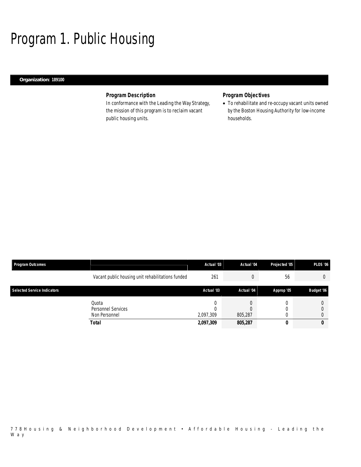# Program 1. Public Housing

## *Organization: 189100*

## *Program Description*

In conformance with the Leading the Way Strategy, the mission of this program is to reclaim vacant public housing units.

## *Program Objectives*

• To rehabilitate and re-occupy vacant units owned by the Boston Housing Authority for low-income households.

| <b>Program Outcomes</b>            |                                                   | Actual '03 | Actual '04 | Projected '05 | <b>PLOS '06</b>   |
|------------------------------------|---------------------------------------------------|------------|------------|---------------|-------------------|
|                                    | Vacant public housing unit rehabilitations funded | 261        |            | 56            |                   |
| <b>Selected Service Indicators</b> |                                                   | Actual '03 | Actual '04 | Approp '05    | <b>Budget '06</b> |
|                                    | Quota<br>Personnel Services<br>Non Personnel      | 2.097.309  | 805.287    |               |                   |
|                                    | Total                                             | 2,097,309  | 805,287    |               |                   |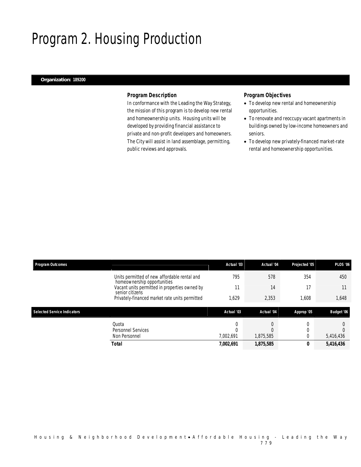# Program 2. Housing Production

#### *Organization: 189200*

#### *Program Description*

In conformance with the Leading the Way Strategy, the mission of this program is to develop new rental and homeownership units. Housing units will be developed by providing financial assistance to private and non-profit developers and homeowners. The City will assist in land assemblage, permitting, public reviews and approvals.

## *Program Objectives*

- To develop new rental and homeownership opportunities.
- To renovate and reoccupy vacant apartments in buildings owned by low-income homeowners and seniors.
- To develop new privately-financed market-rate rental and homeownership opportunities.

| <b>Program Outcomes</b>            |                                                                             | Actual '03 | Actual '04 | Projected '05 | <b>PLOS '06</b> |
|------------------------------------|-----------------------------------------------------------------------------|------------|------------|---------------|-----------------|
|                                    | Units permitted of new affordable rental and<br>homeownership opportunities | 795        | 578        | 354           | 450             |
|                                    | Vacant units permitted in properties owned by<br>senior citizens            | 11         | 14         | 17            | 11              |
|                                    | Privately-financed market rate units permitted                              | 629, ا     | 2,353      | 1,608         | 1,648           |
|                                    |                                                                             |            |            |               |                 |
| <b>Selected Service Indicators</b> |                                                                             | Actual '03 | Actual '04 | Approp '05    | Budget '06      |
|                                    | Quota                                                                       | 0          |            |               |                 |
|                                    | Personnel Services                                                          |            |            |               |                 |
|                                    | Non Personnel                                                               | 7,002,691  | 1,875,585  |               | 5,416,436       |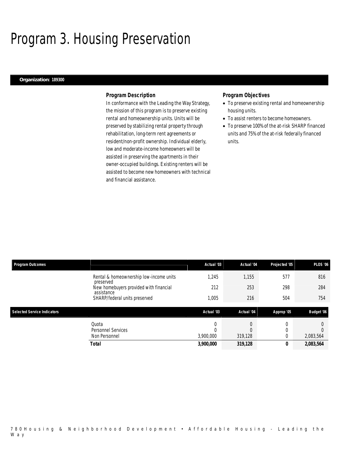# Program 3. Housing Preservation

#### *Organization: 189300*

#### *Program Description*

In conformance with the Leading the Way Strategy, the mission of this program is to preserve existing rental and homeownership units. Units will be preserved by stabilizing rental property through rehabilitation, long-term rent agreements or resident/non-profit ownership. Individual elderly, low and moderate-income homeowners will be assisted in preserving the apartments in their owner-occupied buildings. Existing renters will be assisted to become new homeowners with technical and financial assistance.

#### *Program Objectives*

- To preserve existing rental and homeownership housing units.
- To assist renters to become homeowners.
- To preserve 100% of the at-risk SHARP financed units and 75% of the at-risk federally financed units.

| <b>Program Outcomes</b>            |                                                      | Actual '03 | Actual '04 | Projected '05 | <b>PLOS '06</b> |
|------------------------------------|------------------------------------------------------|------------|------------|---------------|-----------------|
|                                    | Rental & homeownership low-income units<br>preserved | 245,       | 1,155      | 577           | 816             |
|                                    | New homebuyers provided with financial<br>assistance | 212        | 253        | 298           | 284             |
|                                    | SHARP/federal units preserved                        | 1,005      | 216        | 504           | 754             |
|                                    |                                                      |            |            |               |                 |
| <b>Selected Service Indicators</b> |                                                      | Actual '03 | Actual '04 | Approp '05    | Budget '06      |
|                                    | Quota                                                | 0          | 0          |               |                 |
|                                    | Personnel Services                                   |            |            |               |                 |
|                                    | Non Personnel                                        | 3,900,000  | 319,128    |               | 2,083,564       |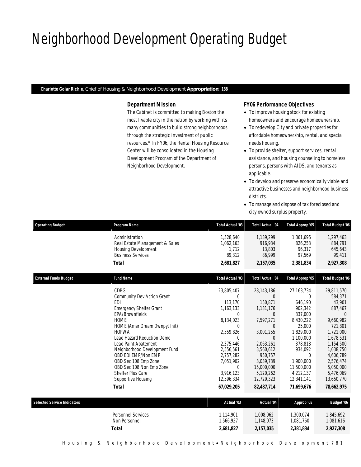# Neighborhood Development Operating Budget

#### *Charlotte Golar Richie, Chief of Housing & Neighborhood Development Appropriation: 188*

## *Department Mission*

The Cabinet is committed to making Boston the most livable city in the nation by working with its many communities to build strong neighborhoods through the strategic investment of public resources.\* In FY06, the Rental Housing Resource Center will be consolidated in the Housing Development Program of the Department of Neighborhood Development.

#### *FY06 Performance Objectives*

- To improve housing stock for existing homeowners and encourage homeownership.
- To redevelop City and private properties for affordable homeownership, rental, and special needs housing.
- To provide shelter, support services, rental assistance, and housing counseling to homeless persons, persons with AIDS, and tenants as applicable.
- To develop and preserve economically viable and attractive businesses and neighborhood business districts.
- To manage and dispose of tax foreclosed and city-owned surplus property.

| <b>Operating Budget</b>            | Program Name                                                                   | Total Actual '03                | Total Actual '04               | Total Approp '05               | <b>Total Budget '06</b>         |
|------------------------------------|--------------------------------------------------------------------------------|---------------------------------|--------------------------------|--------------------------------|---------------------------------|
|                                    | Administration<br>Real Estate Management & Sales<br><b>Housing Development</b> | 1,528,640<br>1,062,163<br>1.712 | 1,139,299<br>916,934<br>13,803 | 1,361,695<br>826,253<br>96,317 | 1,297,463<br>884,791<br>645,643 |
|                                    | <b>Business Services</b><br><b>Total</b>                                       | 89,312<br>2,681,827             | 86,999<br>2,157,035            | 97,569<br>2,381,834            | 99,411<br>2,927,308             |
| <b>External Funds Budget</b>       | <b>Fund Name</b>                                                               | Total Actual '03                | Total Actual '04               | Total Approp '05               | Total Budget '06                |
|                                    |                                                                                |                                 |                                |                                |                                 |
|                                    | CDBG                                                                           | 23,805,407                      | 28,143,186                     | 27, 163, 734                   | 29,811,570                      |
|                                    | Community Dev Action Grant                                                     | $\overline{0}$                  | $\Omega$                       | $\Omega$                       | 584,371                         |
|                                    | <b>EDI</b>                                                                     | 113,170                         | 150,871                        | 646,190                        | 43,901                          |
|                                    | <b>Emergency Shelter Grant</b>                                                 | 1,163,133                       | 1,131,176                      | 902,342                        | 887,467                         |
|                                    | EPA/Brownfields                                                                | $\theta$                        | $\Omega$                       | 337,000                        | $\Omega$                        |
|                                    | <b>HOME</b>                                                                    | 8,134,023                       | 7,597,271                      | 8,430,222                      | 9,660,982                       |
|                                    | HOME (Amer Dream Dwnpyt Init)                                                  | $\theta$                        | $\Omega$                       | 25,000                         | 721,801                         |
|                                    | <b>HOPWA</b>                                                                   | 2,559,826                       | 3,001,255                      | 1,829,000                      | 1,721,000                       |
|                                    | Lead Hazard Reduction Demo                                                     | $\Omega$                        | $\Omega$                       | 1,100,000                      | 1,678,531                       |
|                                    | Lead Paint Abatement                                                           | 2,375,446                       | 2,063,261                      | 378,818                        | 1,154,500                       |
|                                    | Neighborhood Development Fund                                                  | 2,556,561                       | 3,560,612                      | 934,092                        | 1.038.750                       |
|                                    | OBD EDI EMP/Non EMP                                                            | 2,757,282                       | 950,757                        | 0                              | 4,606,789                       |
|                                    | OBD Sec 108 Emp Zone                                                           | 7,051,902                       | 3,039,739                      | 1,900,000                      | 2,576,474                       |
|                                    | OBD Sec 108 Non Emp Zone                                                       | $\theta$                        | 15,000,000                     | 11,500,000                     | 5,050,000                       |
|                                    | Shelter Plus Care                                                              | 3,916,123                       | 5,120,262                      | 4,212,137                      | 5,476,069                       |
|                                    | Supportive Housing                                                             | 12,596,334                      | 12,729,323                     | 12,341,141                     | 13,650,770                      |
|                                    | <b>Total</b>                                                                   | 67,029,205                      | 82,487,714                     | 71,699,676                     | 78,662,975                      |
|                                    |                                                                                |                                 |                                |                                |                                 |
| <b>Selected Service Indicators</b> |                                                                                | Actual '03                      | Actual '04                     | Approp '05                     | Budget '06                      |
|                                    | <b>Personnel Services</b>                                                      | 1,114,901                       | 1,008,962                      | 1,300,074                      | 1,845,692                       |
|                                    | Non Personnel                                                                  | 1,566,927                       | 1.148.073                      | 1,081,760                      | 1,081,616                       |

*Total 2,681,827 2,157,035 2,381,834 2,927,308*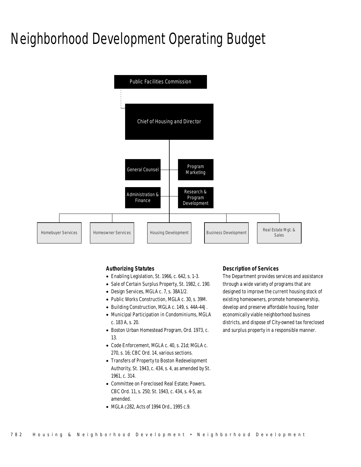# Neighborhood Development Operating Budget



## *Authorizing Statutes*

- Enabling Legislation, St. 1966, c. 642, s. 1-3.
- Sale of Certain Surplus Property, St. 1982, c. 190.
- Design Services, MGLA c. 7, s. 38A1/2.
- Public Works Construction, MGLA c. 30, s. 39M.
- Building Construction, MGLA c. 149, s. 44A-44J.
- Municipal Participation in Condominiums, MGLA c. 183 A, s. 20.
- Boston Urban Homestead Program, Ord. 1973, c. 13.
- Code Enforcement, MGLA c. 40, s. 21d; MGLA c. 270, s. 16; CBC Ord. 14, various sections.
- Transfers of Property to Boston Redevelopment Authority, St. 1943, c. 434, s. 4, as amended by St. 1961, c. 314.
- Committee on Foreclosed Real Estate; Powers, CBC Ord. 11, s. 250; St. 1943, c. 434, s. 4-5, as amended.
- MGLA c282, Acts of 1994 Ord., 1995 c.9.

#### *Description of Services*

The Department provides services and assistance through a wide variety of programs that are designed to improve the current housing stock of existing homeowners, promote homeownership, develop and preserve affordable housing, foster economically viable neighborhood business districts, and dispose of City-owned tax foreclosed and surplus property in a responsible manner.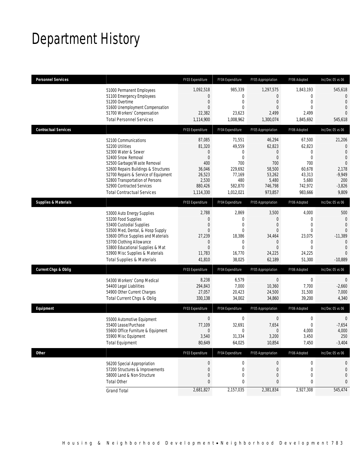# Department History

| <b>Personnel Services</b>       |                                                                                                                                                                                                                                                                                                          | FY03 Expenditure                                                                                                      | FY04 Expenditure                                                                                                | FY05 Appropriation                                                                                                      | FY06 Adopted                                                                                           | Inc/Dec 05 vs 06                                                                                                     |
|---------------------------------|----------------------------------------------------------------------------------------------------------------------------------------------------------------------------------------------------------------------------------------------------------------------------------------------------------|-----------------------------------------------------------------------------------------------------------------------|-----------------------------------------------------------------------------------------------------------------|-------------------------------------------------------------------------------------------------------------------------|--------------------------------------------------------------------------------------------------------|----------------------------------------------------------------------------------------------------------------------|
|                                 | 51000 Permanent Employees<br>51100 Emergency Employees<br>51200 Overtime<br>51600 Unemployment Compensation<br>51700 Workers' Compensation<br><b>Total Personnel Services</b>                                                                                                                            | 1,092,518<br>$\overline{0}$<br>$\mathbf{0}$<br>$\overline{0}$<br>22,382<br>1,114,900                                  | 985,339<br>0<br>$\Omega$<br>$\Omega$<br>23,623<br>1,008,962                                                     | 1,297,575<br>$\overline{0}$<br>$\overline{0}$<br>$\Omega$<br>2,499<br>1,300,074                                         | 1,843,193<br>$\Omega$<br>$\theta$<br>$\Omega$<br>2,499<br>1,845,692                                    | 545,618<br>$\theta$<br>$\Omega$<br>$\theta$<br>$\Omega$<br>545,618                                                   |
| <b>Contractual Services</b>     |                                                                                                                                                                                                                                                                                                          | FY03 Expenditure                                                                                                      | FY04 Expenditure                                                                                                | FY05 Appropriation                                                                                                      | FY06 Adopted                                                                                           | Inc/Dec 05 vs 06                                                                                                     |
|                                 | 52100 Communications<br>52200 Utilities<br>52300 Water & Sewer<br>52400 Snow Removal<br>52500 Garbage/Waste Removal<br>52600 Repairs Buildings & Structures<br>52700 Repairs & Service of Equipment<br>52800 Transportation of Persons<br>52900 Contracted Services<br><b>Total Contractual Services</b> | 87,085<br>81,320<br>$\mathbf{0}$<br>$\mathbf{0}$<br>400<br>36,046<br>26,523<br>2,530<br>880,426<br>1,114,330          | 71,551<br>49,559<br>$\mathbf{0}$<br>$\mathbf{0}$<br>700<br>229,692<br>77,169<br>480<br>582,870<br>1,012,021     | 46,294<br>62,823<br>$\overline{0}$<br>$\mathbf{0}$<br>700<br>58,500<br>53,262<br>5,480<br>746,798<br>973,857            | 67,500<br>62,823<br>$\theta$<br>$\Omega$<br>700<br>60,678<br>43,313<br>5,680<br>742,972<br>983,666     | 21,206<br>$\Omega$<br>$\mathbf{0}$<br>$\mathbf{0}$<br>$\mathbf 0$<br>2,178<br>$-9,949$<br>200<br>$-3,826$<br>9,809   |
| <b>Supplies &amp; Materials</b> |                                                                                                                                                                                                                                                                                                          | FY03 Expenditure                                                                                                      | FY04 Expenditure                                                                                                | FY05 Appropriation                                                                                                      | FY06 Adopted                                                                                           | Inc/Dec 05 vs 06                                                                                                     |
|                                 | 53000 Auto Energy Supplies<br>53200 Food Supplies<br>53400 Custodial Supplies<br>53500 Med, Dental, & Hosp Supply<br>53600 Office Supplies and Materials<br>53700 Clothing Allowance<br>53800 Educational Supplies & Mat<br>53900 Misc Supplies & Materials<br><b>Total Supplies &amp; Materials</b>     | 2,788<br>$\mathbf{0}$<br>$\mathbf{0}$<br>$\mathbf{0}$<br>27,239<br>$\mathbf{0}$<br>$\overline{0}$<br>11,783<br>41,810 | 2,869<br>$\mathbf{0}$<br>$\mathbf{0}$<br>$\mathbf{0}$<br>18,386<br>$\mathbf{0}$<br>$\theta$<br>16,770<br>38,025 | 3,500<br>$\overline{0}$<br>$\overline{0}$<br>$\overline{0}$<br>34,464<br>$\overline{0}$<br>$\Omega$<br>24,225<br>62,189 | 4,000<br>$\theta$<br>$\mathbf 0$<br>$\mathbf{0}$<br>23,075<br>$\theta$<br>$\Omega$<br>24,225<br>51,300 | 500<br>$\Omega$<br>$\overline{0}$<br>$\mathbf 0$<br>$-11,389$<br>$\overline{0}$<br>$\theta$<br>$\Omega$<br>$-10,889$ |
| <b>Current Chgs &amp; Oblig</b> |                                                                                                                                                                                                                                                                                                          | FY03 Expenditure                                                                                                      | FY04 Expenditure                                                                                                | FY05 Appropriation                                                                                                      | FY06 Adopted                                                                                           | Inc/Dec 05 vs 06                                                                                                     |
|                                 | 54300 Workers' Comp Medical<br>54400 Legal Liabilities<br>54900 Other Current Charges<br>Total Current Chgs & Oblig                                                                                                                                                                                      | 8,238<br>294,843<br>27,057<br>330,138                                                                                 | 6,579<br>7,000<br>20,423<br>34,002                                                                              | $\theta$<br>10,360<br>24,500<br>34,860                                                                                  | $\mathbf{0}$<br>7,700<br>31,500<br>39,200                                                              | $\mathbf 0$<br>$-2,660$<br>7,000<br>4,340                                                                            |
| Equipment                       |                                                                                                                                                                                                                                                                                                          | FY03 Expenditure                                                                                                      | FY04 Expenditure                                                                                                | FY05 Appropriation                                                                                                      | FY06 Adopted                                                                                           | Inc/Dec 05 vs 06                                                                                                     |
|                                 | 55000 Automotive Equipment<br>55400 Lease/Purchase<br>55600 Office Furniture & Equipment<br>55900 Misc Equipment<br><b>Total Equipment</b>                                                                                                                                                               | $\mathbf 0$<br>77,109<br>$\mathbf 0$<br>3,540<br>80,649                                                               | $\mathbf 0$<br>32,691<br>0<br>31,334<br>64,025                                                                  | $\theta$<br>7,654<br>$\overline{0}$<br>3,200<br>10,854                                                                  | $\mathbf 0$<br>$\Omega$<br>4,000<br>3,450<br>7,450                                                     | $\theta$<br>$-7,654$<br>4,000<br>250<br>$-3,404$                                                                     |
| Other                           |                                                                                                                                                                                                                                                                                                          | FY03 Expenditure                                                                                                      | FY04 Expenditure                                                                                                | FY05 Appropriation                                                                                                      | FY06 Adopted                                                                                           | Inc/Dec 05 vs 06                                                                                                     |
|                                 | 56200 Special Appropriation<br>57200 Structures & Improvements<br>58000 Land & Non-Structure<br><b>Total Other</b>                                                                                                                                                                                       | 0<br>0<br>0<br>$\pmb{0}$                                                                                              | $\boldsymbol{0}$<br>0<br>0<br>0                                                                                 | 0<br>$\boldsymbol{0}$<br>$\mathbf 0$<br>0                                                                               | 0<br>0<br>0<br>0                                                                                       | 0<br>$\theta$<br>0<br>$\mathbf{0}$                                                                                   |
|                                 | <b>Grand Total</b>                                                                                                                                                                                                                                                                                       | 2,681,827                                                                                                             | 2,157,035                                                                                                       | 2,381,834                                                                                                               | 2,927,308                                                                                              | 545,474                                                                                                              |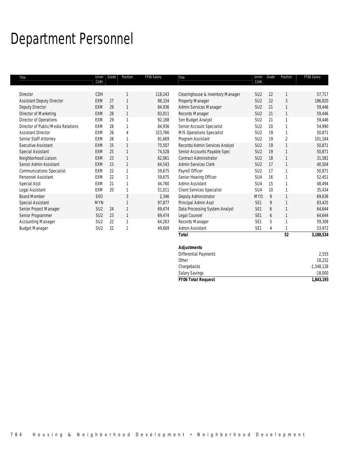# Department Personnel

| Title                              | Union<br>Code   | Grade | Position       | FY06 Salary | Title                             | Union<br>Code   | Grade          | Position       | FY06 Salary  |
|------------------------------------|-----------------|-------|----------------|-------------|-----------------------------------|-----------------|----------------|----------------|--------------|
|                                    |                 |       |                |             |                                   |                 |                |                |              |
| Director                           | CDH             |       | 1              | 118,243     | Clearinghouse & Inventory Manager | SU <sub>2</sub> | 22             | $\mathbf{1}$   | 57,717       |
| <b>Assistant Deputy Director</b>   | <b>EXM</b>      | 27    | $\mathbf{1}$   | 88,334      | Property Manager                  | SU <sub>2</sub> | 22             | 3              | 186,820      |
| Deputy Director                    | <b>EXM</b>      | 29    | 1              | 84,936      | Admin Services Manager            | SU <sub>2</sub> | 21             | $\mathbf{1}$   | 59,446       |
| Director of Marketing              | <b>EXM</b>      | 28    | $\mathbf{1}$   | 83,011      | Records Manager                   | SU <sub>2</sub> | 21             | $\mathbf{1}$   | 59,446       |
| Director of Operations             | EXM             | 29    | $\mathbf{1}$   | 92,168      | Sen Budget Analyst                | SU <sub>2</sub> | 21             | 1              | 59,446       |
| Director of Public/Media Relations | EXM             | 28    | 1              | 84,936      | Senior Account Specialist         | SU <sub>2</sub> | 20             | $\mathbf{1}$   | 54,990       |
| <b>Assistant Director</b>          | EXM             | 26    | $\overline{4}$ | 323,766     | <b>MIS Operations Specialist</b>  | SU <sub>2</sub> | 19             | $\mathbf{1}$   | 50,871       |
| Senior Staff Attorney              | <b>EXM</b>      | 26    | $\mathbf{1}$   | 81,669      | Program Assistant                 | SU <sub>2</sub> | 19             | $\overline{2}$ | 101,164      |
| <b>Executive Assistant</b>         | <b>EXM</b>      | 25    | $\mathbf{1}$   | 75,507      | Records/Admin Services Analyst    | SU <sub>2</sub> | 19             | $\mathbf{1}$   | 50,871       |
| <b>Special Assistant</b>           | <b>EXM</b>      | 25    | $\mathbf{1}$   | 74,528      | Senior Accounts Payable Spec      | SU <sub>2</sub> | 19             | $\mathbf{1}$   | 50,871       |
| Neighborhood Liaison               | <b>EXM</b>      | 23    | 1              | 62,061      | <b>Contract Administrator</b>     | SU <sub>2</sub> | 18             | $\mathbf{1}$   | 31,581       |
| Senior Admin Assistant             | <b>EXM</b>      | 23    | $\mathbf{1}$   | 64,543      | Admin Services Clerk              | SU <sub>2</sub> | 17             | $\mathbf{1}$   | 40,504       |
| <b>Communications Specialist</b>   | EXM             | 22    | 1              | 59,675      | Payroll Officer                   | SU <sub>2</sub> | 17             | $\mathbf{1}$   | 50,871       |
| Personnel Assistant                | EXM             | 22    | 1              | 59,675      | Senior Hearing Officer            | SU <sub>4</sub> | 16             | 1              | 52,451       |
| Special Asst                       | EXM             | 21    | $\mathbf{1}$   | 44,760      | Admin Assistant                   | SU <sub>4</sub> | 15             | $\mathbf{1}$   | 48,494       |
| Legal Assistant                    | <b>EXM</b>      | 20    | $\mathbf{1}$   | 51,011      | <b>Client Services Specialist</b> | SU <sub>4</sub> | 10             | $\mathbf{1}$   | 35,434       |
| <b>Board Member</b>                | EXO             |       | 3              | 2,346       | Deputy Administrator              | <b>MYO</b>      | 9              | 1              | 69,636       |
| <b>Special Assistant</b>           | <b>MYN</b>      |       | $\mathbf{1}$   | 97,877      | Principal Admin Asst              | SE <sub>1</sub> | 9              | $\mathbf{1}$   | 83,425       |
| Senior Project Manager             | SU <sub>2</sub> | 24    | 1              | 69,474      | Data Processing System Analyst    | SE1             | 6              | $\mathbf{1}$   | 64,644       |
| Senior Programmer                  | SU <sub>2</sub> | 23    | $\mathbf{1}$   | 69,474      | Legal Counsel                     | SE <sub>1</sub> | 6              | $\mathbf{1}$   | 64,644       |
| <b>Accounting Manager</b>          | SU <sub>2</sub> | 22    | $\mathbf{1}$   | 64,263      | Records Manager                   | SE <sub>1</sub> | 5              | $\mathbf{1}$   | 59,308       |
| <b>Budget Manager</b>              | SU <sub>2</sub> | 22    | $\mathbf{1}$   | 49,669      | Admin Assistant                   | SE1             | $\overline{4}$ | 1              | 53,972       |
|                                    |                 |       |                |             | <b>Total</b>                      |                 |                | 52             | 3,188,534    |
|                                    |                 |       |                |             | <b>Adjustments</b>                |                 |                |                |              |
|                                    |                 |       |                |             | <b>Differential Payments</b>      |                 |                |                | 2,555        |
|                                    |                 |       |                |             | Other                             |                 |                |                | 18,232       |
|                                    |                 |       |                |             | Chargebacks                       |                 |                |                | $-1,348,128$ |
|                                    |                 |       |                |             | Salary Savings                    |                 |                |                | $-18,000$    |
|                                    |                 |       |                |             | <b>FY06 Total Request</b>         |                 |                |                | 1,843,193    |

*FY06 Total Request 1,843,193*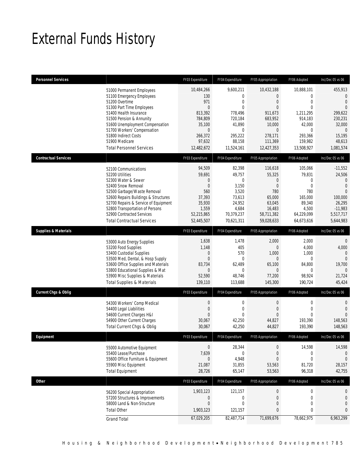# External Funds History

| <b>Personnel Services</b>       |                                                                                                                                                                                                                                                                                                            | FY03 Expenditure                                                                                                                       | FY04 Expenditure                                                                                                               | FY05 Appropriation                                                                                                                           | FY06 Adopted                                                                                                           | Inc/Dec 05 vs 06                                                                                                                                      |
|---------------------------------|------------------------------------------------------------------------------------------------------------------------------------------------------------------------------------------------------------------------------------------------------------------------------------------------------------|----------------------------------------------------------------------------------------------------------------------------------------|--------------------------------------------------------------------------------------------------------------------------------|----------------------------------------------------------------------------------------------------------------------------------------------|------------------------------------------------------------------------------------------------------------------------|-------------------------------------------------------------------------------------------------------------------------------------------------------|
|                                 | 51000 Permanent Employees<br>51100 Emergency Employees<br>51200 Overtime<br>51300 Part Time Employees<br>51400 Health Insurance<br>51500 Pension & Annunity<br>51600 Unemployment Compensation<br>51700 Workers' Compensation<br>51800 Indirect Costs<br>51900 Medicare<br><b>Total Personnel Services</b> | 10,484,266<br>130<br>971<br>$\mathbf{0}$<br>813,392<br>784,809<br>35,100<br>$\mathbf 0$<br>266,372<br>97,632<br>12,482,672             | 9,600,211<br>0<br>$\theta$<br>$\Omega$<br>778,496<br>720,184<br>41.890<br>$\mathbf{0}$<br>295,222<br>88,158<br>11,524,161      | 10,432,188<br>$\overline{0}$<br>$\Omega$<br>$\Omega$<br>911.673<br>683,952<br>10,000<br>$\Omega$<br>278,171<br>111,369<br>12,427,353         | 10,888,101<br>0<br>$\theta$<br>$\Omega$<br>1,211,295<br>914,183<br>42,000<br>0<br>293,366<br>159,982<br>13,508,927     | 455,913<br>$\mathbf{0}$<br>$\mathbf{0}$<br>$\Omega$<br>299,622<br>230,231<br>32,000<br>$\overline{0}$<br>15,195<br>48,613<br>1,081,574                |
| <b>Contractual Services</b>     | 52100 Communications<br>52200 Utilities<br>52300 Water & Sewer<br>52400 Snow Removal<br>52500 Garbage/Waste Removal<br>52600 Repairs Buildings & Structures<br>52700 Repairs & Service of Equipment<br>52800 Transportation of Persons<br>52900 Contracted Services<br><b>Total Contractual Services</b>   | FY03 Expenditure<br>94,509<br>59,691<br>$\overline{0}$<br>$\mathbf{0}$<br>560<br>37,393<br>35,930<br>1,559<br>52,215,865<br>52,445,507 | FY04 Expenditure<br>82,398<br>49,757<br>$\mathbf 0$<br>3,150<br>3,520<br>73,613<br>24,952<br>4,684<br>70,379,237<br>70,621,311 | FY05 Appropriation<br>116,618<br>55,325<br>$\overline{0}$<br>$\overline{0}$<br>780<br>65,000<br>63,045<br>16,483<br>58,711,382<br>59,028,633 | FY06 Adopted<br>105,066<br>79,831<br>0<br>$\mathbf 0$<br>780<br>165,000<br>89,340<br>4,500<br>64,229,099<br>64,673,616 | Inc/Dec 05 vs 06<br>$-11,552$<br>24,506<br>$\mathbf{0}$<br>$\mathbf{0}$<br>$\overline{0}$<br>100,000<br>26,295<br>$-11,983$<br>5,517,717<br>5,644,983 |
| <b>Supplies &amp; Materials</b> |                                                                                                                                                                                                                                                                                                            | FY03 Expenditure                                                                                                                       | FY04 Expenditure                                                                                                               | FY05 Appropriation                                                                                                                           | FY06 Adopted                                                                                                           | Inc/Dec 05 vs 06                                                                                                                                      |
|                                 | 53000 Auto Energy Supplies<br>53200 Food Supplies<br>53400 Custodial Supplies<br>53500 Med, Dental, & Hosp Supply<br>53600 Office Supplies and Materials<br>53800 Educational Supplies & Mat<br>53900 Misc Supplies & Materials<br><b>Total Supplies &amp; Materials</b>                                   | 1,638<br>1,148<br>$\mathbf 0$<br>$\mathbf{0}$<br>83,734<br>$\mathbf{0}$<br>52,590<br>139,110                                           | 1,478<br>405<br>570<br>$\mathbf 0$<br>62,489<br>$\mathbf{0}$<br>48,746<br>113,688                                              | 2,000<br>$\overline{0}$<br>1,000<br>$\overline{0}$<br>65,100<br>$\mathbf{0}$<br>77,200<br>145,300                                            | 2,000<br>4,000<br>1,000<br>$\mathbf 0$<br>84,800<br>0<br>98,924<br>190,724                                             | $\mathbf 0$<br>4,000<br>$\Omega$<br>$\overline{0}$<br>19,700<br>$\Omega$<br>21,724<br>45,424                                                          |
| <b>Current Chgs &amp; Oblig</b> |                                                                                                                                                                                                                                                                                                            | FY03 Expenditure                                                                                                                       | FY04 Expenditure                                                                                                               | FY05 Appropriation                                                                                                                           | FY06 Adopted                                                                                                           | Inc/Dec 05 vs 06                                                                                                                                      |
|                                 | 54300 Workers' Comp Medical<br>54400 Legal Liabilities<br>54600 Current Charges H&I<br>54900 Other Current Charges<br>Total Current Chgs & Oblig                                                                                                                                                           | $\boldsymbol{0}$<br>$\mathbf{0}$<br>$\theta$<br>30,067<br>30,067                                                                       | $\mathbf 0$<br>$\mathbf{0}$<br>$\Omega$<br>42,250<br>42,250                                                                    | $\boldsymbol{0}$<br>$\boldsymbol{0}$<br>$\Omega$<br>44,827<br>44,827                                                                         | $\boldsymbol{0}$<br>$\mathbf 0$<br>0<br>193,390<br>193,390                                                             | $\mathbf{0}$<br>$\overline{0}$<br>$\overline{0}$<br>148,563<br>148,563                                                                                |
| Equipment                       |                                                                                                                                                                                                                                                                                                            | FY03 Expenditure                                                                                                                       | FY04 Expenditure                                                                                                               | FY05 Appropriation                                                                                                                           | FY06 Adopted                                                                                                           | Inc/Dec 05 vs 06                                                                                                                                      |
|                                 | 55000 Automotive Equipment<br>55400 Lease/Purchase<br>55600 Office Furniture & Equipment<br>55900 Misc Equipment<br><b>Total Equipment</b>                                                                                                                                                                 | $\boldsymbol{0}$<br>7,639<br>$\mathbf 0$<br>21,087<br>28,726                                                                           | 28,344<br>0<br>4,948<br>31,855<br>65,147                                                                                       | $\boldsymbol{0}$<br>$\mathbf 0$<br>$\overline{0}$<br>53,563<br>53,563                                                                        | 14,598<br>0<br>$\mathbf 0$<br>81,720<br>96,318                                                                         | 14,598<br>0<br>$\theta$<br>28,157<br>42,755                                                                                                           |
| Other                           |                                                                                                                                                                                                                                                                                                            | FY03 Expenditure                                                                                                                       | FY04 Expenditure                                                                                                               | FY05 Appropriation                                                                                                                           | FY06 Adopted                                                                                                           | Inc/Dec 05 vs 06                                                                                                                                      |
|                                 | 56200 Special Appropriation<br>57200 Structures & Improvements<br>58000 Land & Non-Structure<br><b>Total Other</b><br><b>Grand Total</b>                                                                                                                                                                   | 1,903,123<br>$\boldsymbol{0}$<br>$\boldsymbol{0}$<br>1,903,123<br>67,029,205                                                           | 121,157<br>$\boldsymbol{0}$<br>$\boldsymbol{0}$<br>121,157<br>82,487,714                                                       | 0<br>$\boldsymbol{0}$<br>$\mathbf 0$<br>0<br>71,699,676                                                                                      | $\boldsymbol{0}$<br>$\boldsymbol{0}$<br>$\boldsymbol{0}$<br>0<br>78,662,975                                            | 0<br>$\mathbf 0$<br>$\mathbf 0$<br>$\bf{0}$<br>6,963,299                                                                                              |
|                                 |                                                                                                                                                                                                                                                                                                            |                                                                                                                                        |                                                                                                                                |                                                                                                                                              |                                                                                                                        |                                                                                                                                                       |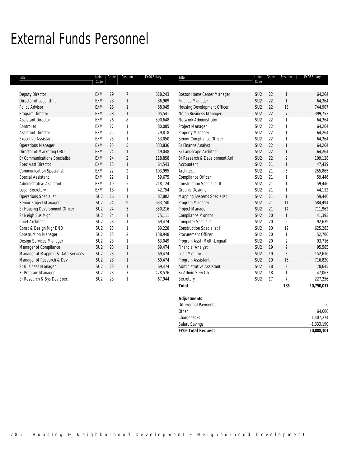# External Funds Personnel

Title Union Code Grade Position FY06 Salary Title Title

| Deputy Director                    | <b>EXM</b>      | 29 | 7              | 618,243 | Boston Home Center Manager        | SU <sub>2</sub> | 22 |                | 64,264  |
|------------------------------------|-----------------|----|----------------|---------|-----------------------------------|-----------------|----|----------------|---------|
| Director of Legal Unit             | <b>EXM</b>      | 28 |                | 86.909  | Finance Manager                   | SU <sub>2</sub> | 22 | 1              | 64,264  |
| Policy Advisor                     | EXM             | 28 | 1              | 88,045  | Housing Development Officer       | SU <sub>2</sub> | 22 | 13             | 744,907 |
| Program Director                   | EXM             | 28 | 1              | 95,541  | Neigh Business Manager            | SU <sub>2</sub> | 22 | $\overline{7}$ | 399,753 |
| <b>Assistant Director</b>          | <b>EXM</b>      | 26 | 8              | 590,648 | Network Administrator             | SU <sub>2</sub> | 22 |                | 64,264  |
| Controller                         | <b>EXM</b>      | 27 |                | 80,085  | Project Manager                   | SU <sub>2</sub> | 22 |                | 64,264  |
| <b>Assistant Director</b>          | EXM             | 25 |                | 79,818  | Property Manager                  | SU <sub>2</sub> | 22 |                | 64,264  |
| <b>Executive Assistant</b>         | <b>EXM</b>      | 25 |                | 53,050  | Senior Compliance Officer         | SU <sub>2</sub> | 22 |                | 64,264  |
| <b>Operations Manager</b>          | <b>EXM</b>      | 25 | 5              | 333,836 | Sr Finance Analyst                | SU <sub>2</sub> | 22 | 1              | 64,264  |
| Director of Marketing OBD          | EXM             | 24 | 1              | 49,048  | Sr Landscape Architect            | SU <sub>2</sub> | 22 | 1              | 64,264  |
| Sr Communications Specialist       | <b>EXM</b>      | 24 | $\overline{2}$ | 118,858 | Sr Research & Development Anl     | SU <sub>2</sub> | 22 | $\overline{2}$ | 109,128 |
| <b>Spec Asst Director</b>          | <b>EXM</b>      | 23 | 1              | 64,543  | Accountant                        | SU <sub>2</sub> | 21 | 1              | 47,439  |
| <b>Communication Specialist</b>    | <b>EXM</b>      | 22 | 2              | 103,995 | Architect                         | SU <sub>2</sub> | 21 | 5              | 255,865 |
| Special Assistant                  | <b>EXM</b>      | 22 | 1              | 59,675  | Compliance Officer                | SU <sub>2</sub> | 21 |                | 59,446  |
| <b>Administrative Assistant</b>    | <b>EXM</b>      | 19 | 5              | 218,124 | <b>Construction Specialist II</b> | SU <sub>2</sub> | 21 |                | 59,446  |
| Legal Secretary                    | <b>EXM</b>      | 18 |                | 42,754  | <b>Graphic Designer</b>           | SU <sub>2</sub> | 21 |                | 44,112  |
| <b>Operations Specialist</b>       | SU <sub>2</sub> | 26 | 1              | 87,802  | Mapping Systems Specialist        | SU <sub>2</sub> | 21 | 1              | 59,446  |
| Senior Project Manager             | SU <sub>2</sub> | 24 | 9              | 633,740 | Program Manager                   | SU <sub>2</sub> | 21 | 11             | 584,494 |
| Sr Housing Development Officer     | SU <sub>2</sub> | 24 | 5              | 350,216 | Project Manager                   | SU <sub>2</sub> | 21 | 14             | 711,962 |
| Sr Neigh Bus Mgr                   | SU <sub>2</sub> | 24 | 1              | 75,111  | <b>Compliance Monitor</b>         | SU <sub>2</sub> | 20 | $\mathbf{1}$   | 41,393  |
| <b>Chief Architect</b>             | SU <sub>2</sub> | 23 |                | 69,474  | <b>Computer Specialist</b>        | SU <sub>2</sub> | 20 | $\overline{2}$ | 92,679  |
| Const & Design Mgr DND             | SU <sub>2</sub> | 23 | 1              | 60,228  | <b>Construction Specialist I</b>  | SU <sub>2</sub> | 20 | 12             | 625,283 |
| <b>Construction Manager</b>        | SU <sub>2</sub> | 23 | $\overline{2}$ | 138,948 | Procurement Officer               | SU <sub>2</sub> | 20 | 1              | 52,700  |
| Design Services Manager            | SU <sub>2</sub> | 23 |                | 63,049  | Program Asst (Multi-Lingual)      | SU <sub>2</sub> | 20 | $\overline{2}$ | 93,716  |
| Manager of Compliance              | SU <sub>2</sub> | 23 | 1              | 69,474  | <b>Financial Analyst</b>          | SU <sub>2</sub> | 19 | 2              | 95,585  |
| Manager of Mapping & Data Services | SU <sub>2</sub> | 23 |                | 69,474  | Loan Monitor                      | SU <sub>2</sub> | 19 | 3              | 152,616 |
| Manager of Research & Dev          | SU <sub>2</sub> | 23 | 1              | 69,474  | Program Assistant                 | SU <sub>2</sub> | 19 | 15             | 716,820 |
| Sr Business Manager                | SU <sub>2</sub> | 23 | 1              | 69,474  | <b>Administrative Assistant</b>   | SU <sub>2</sub> | 18 | $\overline{2}$ | 78,645  |
| Sr Program Manager                 | SU <sub>2</sub> | 23 | $\overline{7}$ | 428,576 | Sr Admin Serv Clk                 | SU <sub>2</sub> | 18 | 1              | 47,063  |
| Sr Research & Sys Dev Spec         | SU <sub>2</sub> | 23 |                | 67,944  | Secretary                         | SU <sub>2</sub> | 17 | 7              | 227,256 |
|                                    |                 |    |                |         |                                   |                 |    |                |         |

|     |                                                                                                                                                                                                                                                                                                                                                                                                             |                                                                                                                                                                            |                                                                                                                                                                                                                                                                                                            | <b>FY06 Total Request</b>                                                                                                                                                                                                                                                                               |                                                                                                                                                                                                                                                                                                                                                                                                                                                                                                                                                                                                                                                                                                                                                                                                                            |                                                                                                                                                                                                                                                                                                                                                                                                                                                                                                                                                                     |                                                                                                                                                                                                     | 10,888,101                                                                                                                                                                                                                                                                                                   |
|-----|-------------------------------------------------------------------------------------------------------------------------------------------------------------------------------------------------------------------------------------------------------------------------------------------------------------------------------------------------------------------------------------------------------------|----------------------------------------------------------------------------------------------------------------------------------------------------------------------------|------------------------------------------------------------------------------------------------------------------------------------------------------------------------------------------------------------------------------------------------------------------------------------------------------------|---------------------------------------------------------------------------------------------------------------------------------------------------------------------------------------------------------------------------------------------------------------------------------------------------------|----------------------------------------------------------------------------------------------------------------------------------------------------------------------------------------------------------------------------------------------------------------------------------------------------------------------------------------------------------------------------------------------------------------------------------------------------------------------------------------------------------------------------------------------------------------------------------------------------------------------------------------------------------------------------------------------------------------------------------------------------------------------------------------------------------------------------|---------------------------------------------------------------------------------------------------------------------------------------------------------------------------------------------------------------------------------------------------------------------------------------------------------------------------------------------------------------------------------------------------------------------------------------------------------------------------------------------------------------------------------------------------------------------|-----------------------------------------------------------------------------------------------------------------------------------------------------------------------------------------------------|--------------------------------------------------------------------------------------------------------------------------------------------------------------------------------------------------------------------------------------------------------------------------------------------------------------|
|     |                                                                                                                                                                                                                                                                                                                                                                                                             |                                                                                                                                                                            |                                                                                                                                                                                                                                                                                                            |                                                                                                                                                                                                                                                                                                         |                                                                                                                                                                                                                                                                                                                                                                                                                                                                                                                                                                                                                                                                                                                                                                                                                            |                                                                                                                                                                                                                                                                                                                                                                                                                                                                                                                                                                     |                                                                                                                                                                                                     | $-1,333,190$                                                                                                                                                                                                                                                                                                 |
|     |                                                                                                                                                                                                                                                                                                                                                                                                             |                                                                                                                                                                            |                                                                                                                                                                                                                                                                                                            |                                                                                                                                                                                                                                                                                                         |                                                                                                                                                                                                                                                                                                                                                                                                                                                                                                                                                                                                                                                                                                                                                                                                                            |                                                                                                                                                                                                                                                                                                                                                                                                                                                                                                                                                                     |                                                                                                                                                                                                     | 1,407,274                                                                                                                                                                                                                                                                                                    |
|     |                                                                                                                                                                                                                                                                                                                                                                                                             |                                                                                                                                                                            |                                                                                                                                                                                                                                                                                                            |                                                                                                                                                                                                                                                                                                         |                                                                                                                                                                                                                                                                                                                                                                                                                                                                                                                                                                                                                                                                                                                                                                                                                            |                                                                                                                                                                                                                                                                                                                                                                                                                                                                                                                                                                     |                                                                                                                                                                                                     | 64,000                                                                                                                                                                                                                                                                                                       |
|     |                                                                                                                                                                                                                                                                                                                                                                                                             |                                                                                                                                                                            |                                                                                                                                                                                                                                                                                                            |                                                                                                                                                                                                                                                                                                         |                                                                                                                                                                                                                                                                                                                                                                                                                                                                                                                                                                                                                                                                                                                                                                                                                            |                                                                                                                                                                                                                                                                                                                                                                                                                                                                                                                                                                     |                                                                                                                                                                                                     | $\mathbf 0$                                                                                                                                                                                                                                                                                                  |
|     |                                                                                                                                                                                                                                                                                                                                                                                                             |                                                                                                                                                                            |                                                                                                                                                                                                                                                                                                            | <b>Adjustments</b>                                                                                                                                                                                                                                                                                      |                                                                                                                                                                                                                                                                                                                                                                                                                                                                                                                                                                                                                                                                                                                                                                                                                            |                                                                                                                                                                                                                                                                                                                                                                                                                                                                                                                                                                     |                                                                                                                                                                                                     |                                                                                                                                                                                                                                                                                                              |
|     |                                                                                                                                                                                                                                                                                                                                                                                                             |                                                                                                                                                                            |                                                                                                                                                                                                                                                                                                            |                                                                                                                                                                                                                                                                                                         |                                                                                                                                                                                                                                                                                                                                                                                                                                                                                                                                                                                                                                                                                                                                                                                                                            |                                                                                                                                                                                                                                                                                                                                                                                                                                                                                                                                                                     |                                                                                                                                                                                                     | 10,750,017                                                                                                                                                                                                                                                                                                   |
|     |                                                                                                                                                                                                                                                                                                                                                                                                             |                                                                                                                                                                            |                                                                                                                                                                                                                                                                                                            |                                                                                                                                                                                                                                                                                                         |                                                                                                                                                                                                                                                                                                                                                                                                                                                                                                                                                                                                                                                                                                                                                                                                                            |                                                                                                                                                                                                                                                                                                                                                                                                                                                                                                                                                                     |                                                                                                                                                                                                     | 227,256                                                                                                                                                                                                                                                                                                      |
|     |                                                                                                                                                                                                                                                                                                                                                                                                             |                                                                                                                                                                            |                                                                                                                                                                                                                                                                                                            |                                                                                                                                                                                                                                                                                                         |                                                                                                                                                                                                                                                                                                                                                                                                                                                                                                                                                                                                                                                                                                                                                                                                                            |                                                                                                                                                                                                                                                                                                                                                                                                                                                                                                                                                                     |                                                                                                                                                                                                     | 47,063                                                                                                                                                                                                                                                                                                       |
|     |                                                                                                                                                                                                                                                                                                                                                                                                             |                                                                                                                                                                            |                                                                                                                                                                                                                                                                                                            |                                                                                                                                                                                                                                                                                                         |                                                                                                                                                                                                                                                                                                                                                                                                                                                                                                                                                                                                                                                                                                                                                                                                                            |                                                                                                                                                                                                                                                                                                                                                                                                                                                                                                                                                                     |                                                                                                                                                                                                     | 78,645                                                                                                                                                                                                                                                                                                       |
|     |                                                                                                                                                                                                                                                                                                                                                                                                             |                                                                                                                                                                            |                                                                                                                                                                                                                                                                                                            |                                                                                                                                                                                                                                                                                                         |                                                                                                                                                                                                                                                                                                                                                                                                                                                                                                                                                                                                                                                                                                                                                                                                                            |                                                                                                                                                                                                                                                                                                                                                                                                                                                                                                                                                                     |                                                                                                                                                                                                     | 716,820                                                                                                                                                                                                                                                                                                      |
|     |                                                                                                                                                                                                                                                                                                                                                                                                             |                                                                                                                                                                            |                                                                                                                                                                                                                                                                                                            |                                                                                                                                                                                                                                                                                                         |                                                                                                                                                                                                                                                                                                                                                                                                                                                                                                                                                                                                                                                                                                                                                                                                                            |                                                                                                                                                                                                                                                                                                                                                                                                                                                                                                                                                                     |                                                                                                                                                                                                     | 152,616                                                                                                                                                                                                                                                                                                      |
|     |                                                                                                                                                                                                                                                                                                                                                                                                             |                                                                                                                                                                            |                                                                                                                                                                                                                                                                                                            |                                                                                                                                                                                                                                                                                                         |                                                                                                                                                                                                                                                                                                                                                                                                                                                                                                                                                                                                                                                                                                                                                                                                                            |                                                                                                                                                                                                                                                                                                                                                                                                                                                                                                                                                                     |                                                                                                                                                                                                     | 95,585                                                                                                                                                                                                                                                                                                       |
|     |                                                                                                                                                                                                                                                                                                                                                                                                             |                                                                                                                                                                            |                                                                                                                                                                                                                                                                                                            |                                                                                                                                                                                                                                                                                                         |                                                                                                                                                                                                                                                                                                                                                                                                                                                                                                                                                                                                                                                                                                                                                                                                                            |                                                                                                                                                                                                                                                                                                                                                                                                                                                                                                                                                                     |                                                                                                                                                                                                     | 93,716                                                                                                                                                                                                                                                                                                       |
|     |                                                                                                                                                                                                                                                                                                                                                                                                             |                                                                                                                                                                            |                                                                                                                                                                                                                                                                                                            |                                                                                                                                                                                                                                                                                                         |                                                                                                                                                                                                                                                                                                                                                                                                                                                                                                                                                                                                                                                                                                                                                                                                                            |                                                                                                                                                                                                                                                                                                                                                                                                                                                                                                                                                                     |                                                                                                                                                                                                     | 52,700                                                                                                                                                                                                                                                                                                       |
|     |                                                                                                                                                                                                                                                                                                                                                                                                             |                                                                                                                                                                            |                                                                                                                                                                                                                                                                                                            |                                                                                                                                                                                                                                                                                                         |                                                                                                                                                                                                                                                                                                                                                                                                                                                                                                                                                                                                                                                                                                                                                                                                                            |                                                                                                                                                                                                                                                                                                                                                                                                                                                                                                                                                                     |                                                                                                                                                                                                     | 625,283                                                                                                                                                                                                                                                                                                      |
|     |                                                                                                                                                                                                                                                                                                                                                                                                             |                                                                                                                                                                            |                                                                                                                                                                                                                                                                                                            |                                                                                                                                                                                                                                                                                                         |                                                                                                                                                                                                                                                                                                                                                                                                                                                                                                                                                                                                                                                                                                                                                                                                                            |                                                                                                                                                                                                                                                                                                                                                                                                                                                                                                                                                                     |                                                                                                                                                                                                     | 92,679                                                                                                                                                                                                                                                                                                       |
|     |                                                                                                                                                                                                                                                                                                                                                                                                             |                                                                                                                                                                            |                                                                                                                                                                                                                                                                                                            |                                                                                                                                                                                                                                                                                                         |                                                                                                                                                                                                                                                                                                                                                                                                                                                                                                                                                                                                                                                                                                                                                                                                                            |                                                                                                                                                                                                                                                                                                                                                                                                                                                                                                                                                                     |                                                                                                                                                                                                     | 41,393                                                                                                                                                                                                                                                                                                       |
|     |                                                                                                                                                                                                                                                                                                                                                                                                             |                                                                                                                                                                            |                                                                                                                                                                                                                                                                                                            |                                                                                                                                                                                                                                                                                                         |                                                                                                                                                                                                                                                                                                                                                                                                                                                                                                                                                                                                                                                                                                                                                                                                                            |                                                                                                                                                                                                                                                                                                                                                                                                                                                                                                                                                                     |                                                                                                                                                                                                     | 711,962                                                                                                                                                                                                                                                                                                      |
|     |                                                                                                                                                                                                                                                                                                                                                                                                             |                                                                                                                                                                            |                                                                                                                                                                                                                                                                                                            |                                                                                                                                                                                                                                                                                                         |                                                                                                                                                                                                                                                                                                                                                                                                                                                                                                                                                                                                                                                                                                                                                                                                                            |                                                                                                                                                                                                                                                                                                                                                                                                                                                                                                                                                                     |                                                                                                                                                                                                     | 584,494                                                                                                                                                                                                                                                                                                      |
|     |                                                                                                                                                                                                                                                                                                                                                                                                             |                                                                                                                                                                            |                                                                                                                                                                                                                                                                                                            |                                                                                                                                                                                                                                                                                                         |                                                                                                                                                                                                                                                                                                                                                                                                                                                                                                                                                                                                                                                                                                                                                                                                                            |                                                                                                                                                                                                                                                                                                                                                                                                                                                                                                                                                                     |                                                                                                                                                                                                     | 59,446                                                                                                                                                                                                                                                                                                       |
|     |                                                                                                                                                                                                                                                                                                                                                                                                             |                                                                                                                                                                            |                                                                                                                                                                                                                                                                                                            |                                                                                                                                                                                                                                                                                                         |                                                                                                                                                                                                                                                                                                                                                                                                                                                                                                                                                                                                                                                                                                                                                                                                                            |                                                                                                                                                                                                                                                                                                                                                                                                                                                                                                                                                                     |                                                                                                                                                                                                     | 44,112                                                                                                                                                                                                                                                                                                       |
|     |                                                                                                                                                                                                                                                                                                                                                                                                             |                                                                                                                                                                            |                                                                                                                                                                                                                                                                                                            |                                                                                                                                                                                                                                                                                                         |                                                                                                                                                                                                                                                                                                                                                                                                                                                                                                                                                                                                                                                                                                                                                                                                                            |                                                                                                                                                                                                                                                                                                                                                                                                                                                                                                                                                                     |                                                                                                                                                                                                     | 59,446                                                                                                                                                                                                                                                                                                       |
|     |                                                                                                                                                                                                                                                                                                                                                                                                             |                                                                                                                                                                            |                                                                                                                                                                                                                                                                                                            |                                                                                                                                                                                                                                                                                                         |                                                                                                                                                                                                                                                                                                                                                                                                                                                                                                                                                                                                                                                                                                                                                                                                                            |                                                                                                                                                                                                                                                                                                                                                                                                                                                                                                                                                                     |                                                                                                                                                                                                     | 59,446                                                                                                                                                                                                                                                                                                       |
|     |                                                                                                                                                                                                                                                                                                                                                                                                             |                                                                                                                                                                            |                                                                                                                                                                                                                                                                                                            |                                                                                                                                                                                                                                                                                                         |                                                                                                                                                                                                                                                                                                                                                                                                                                                                                                                                                                                                                                                                                                                                                                                                                            |                                                                                                                                                                                                                                                                                                                                                                                                                                                                                                                                                                     |                                                                                                                                                                                                     | 255,865                                                                                                                                                                                                                                                                                                      |
|     |                                                                                                                                                                                                                                                                                                                                                                                                             |                                                                                                                                                                            |                                                                                                                                                                                                                                                                                                            |                                                                                                                                                                                                                                                                                                         |                                                                                                                                                                                                                                                                                                                                                                                                                                                                                                                                                                                                                                                                                                                                                                                                                            |                                                                                                                                                                                                                                                                                                                                                                                                                                                                                                                                                                     |                                                                                                                                                                                                     | 47,439                                                                                                                                                                                                                                                                                                       |
|     |                                                                                                                                                                                                                                                                                                                                                                                                             |                                                                                                                                                                            |                                                                                                                                                                                                                                                                                                            |                                                                                                                                                                                                                                                                                                         |                                                                                                                                                                                                                                                                                                                                                                                                                                                                                                                                                                                                                                                                                                                                                                                                                            |                                                                                                                                                                                                                                                                                                                                                                                                                                                                                                                                                                     |                                                                                                                                                                                                     | 109,128                                                                                                                                                                                                                                                                                                      |
|     |                                                                                                                                                                                                                                                                                                                                                                                                             |                                                                                                                                                                            |                                                                                                                                                                                                                                                                                                            |                                                                                                                                                                                                                                                                                                         |                                                                                                                                                                                                                                                                                                                                                                                                                                                                                                                                                                                                                                                                                                                                                                                                                            |                                                                                                                                                                                                                                                                                                                                                                                                                                                                                                                                                                     |                                                                                                                                                                                                     | 64,264                                                                                                                                                                                                                                                                                                       |
|     |                                                                                                                                                                                                                                                                                                                                                                                                             |                                                                                                                                                                            |                                                                                                                                                                                                                                                                                                            |                                                                                                                                                                                                                                                                                                         |                                                                                                                                                                                                                                                                                                                                                                                                                                                                                                                                                                                                                                                                                                                                                                                                                            |                                                                                                                                                                                                                                                                                                                                                                                                                                                                                                                                                                     |                                                                                                                                                                                                     | 64,264                                                                                                                                                                                                                                                                                                       |
|     |                                                                                                                                                                                                                                                                                                                                                                                                             |                                                                                                                                                                            |                                                                                                                                                                                                                                                                                                            |                                                                                                                                                                                                                                                                                                         |                                                                                                                                                                                                                                                                                                                                                                                                                                                                                                                                                                                                                                                                                                                                                                                                                            |                                                                                                                                                                                                                                                                                                                                                                                                                                                                                                                                                                     |                                                                                                                                                                                                     | 64,264                                                                                                                                                                                                                                                                                                       |
|     |                                                                                                                                                                                                                                                                                                                                                                                                             |                                                                                                                                                                            |                                                                                                                                                                                                                                                                                                            |                                                                                                                                                                                                                                                                                                         |                                                                                                                                                                                                                                                                                                                                                                                                                                                                                                                                                                                                                                                                                                                                                                                                                            |                                                                                                                                                                                                                                                                                                                                                                                                                                                                                                                                                                     |                                                                                                                                                                                                     | 64,264                                                                                                                                                                                                                                                                                                       |
|     |                                                                                                                                                                                                                                                                                                                                                                                                             |                                                                                                                                                                            |                                                                                                                                                                                                                                                                                                            |                                                                                                                                                                                                                                                                                                         |                                                                                                                                                                                                                                                                                                                                                                                                                                                                                                                                                                                                                                                                                                                                                                                                                            |                                                                                                                                                                                                                                                                                                                                                                                                                                                                                                                                                                     | 1                                                                                                                                                                                                   | 64,264                                                                                                                                                                                                                                                                                                       |
|     |                                                                                                                                                                                                                                                                                                                                                                                                             |                                                                                                                                                                            |                                                                                                                                                                                                                                                                                                            |                                                                                                                                                                                                                                                                                                         |                                                                                                                                                                                                                                                                                                                                                                                                                                                                                                                                                                                                                                                                                                                                                                                                                            |                                                                                                                                                                                                                                                                                                                                                                                                                                                                                                                                                                     |                                                                                                                                                                                                     | 64,264                                                                                                                                                                                                                                                                                                       |
|     |                                                                                                                                                                                                                                                                                                                                                                                                             |                                                                                                                                                                            |                                                                                                                                                                                                                                                                                                            |                                                                                                                                                                                                                                                                                                         |                                                                                                                                                                                                                                                                                                                                                                                                                                                                                                                                                                                                                                                                                                                                                                                                                            |                                                                                                                                                                                                                                                                                                                                                                                                                                                                                                                                                                     |                                                                                                                                                                                                     | 399,753                                                                                                                                                                                                                                                                                                      |
|     |                                                                                                                                                                                                                                                                                                                                                                                                             |                                                                                                                                                                            |                                                                                                                                                                                                                                                                                                            |                                                                                                                                                                                                                                                                                                         |                                                                                                                                                                                                                                                                                                                                                                                                                                                                                                                                                                                                                                                                                                                                                                                                                            |                                                                                                                                                                                                                                                                                                                                                                                                                                                                                                                                                                     |                                                                                                                                                                                                     | 744,907                                                                                                                                                                                                                                                                                                      |
|     |                                                                                                                                                                                                                                                                                                                                                                                                             | $\mathbf{1}$                                                                                                                                                               |                                                                                                                                                                                                                                                                                                            |                                                                                                                                                                                                                                                                                                         |                                                                                                                                                                                                                                                                                                                                                                                                                                                                                                                                                                                                                                                                                                                                                                                                                            |                                                                                                                                                                                                                                                                                                                                                                                                                                                                                                                                                                     | $\mathbf{1}$                                                                                                                                                                                        | 64,264                                                                                                                                                                                                                                                                                                       |
| EXM | 29                                                                                                                                                                                                                                                                                                                                                                                                          | 7                                                                                                                                                                          | 618,243                                                                                                                                                                                                                                                                                                    | Boston Home Center Manager                                                                                                                                                                                                                                                                              |                                                                                                                                                                                                                                                                                                                                                                                                                                                                                                                                                                                                                                                                                                                                                                                                                            |                                                                                                                                                                                                                                                                                                                                                                                                                                                                                                                                                                     | 1                                                                                                                                                                                                   | 64,264                                                                                                                                                                                                                                                                                                       |
|     | EXM<br>EXM<br>EXM<br>EXM<br>EXM<br>EXM<br><b>EXM</b><br>EXM<br>EXM<br>EXM<br>EXM<br><b>EXM</b><br><b>EXM</b><br><b>EXM</b><br>EXM<br>SU <sub>2</sub><br>SU <sub>2</sub><br>SU <sub>2</sub><br>SU <sub>2</sub><br>SU <sub>2</sub><br>SU <sub>2</sub><br>SU <sub>2</sub><br>SU <sub>2</sub><br>SU <sub>2</sub><br>SU <sub>2</sub><br>SU <sub>2</sub><br>SU <sub>2</sub><br>SU <sub>2</sub><br>SU <sub>2</sub> | 28<br>28<br>28<br>26<br>27<br>25<br>25<br>25<br>24<br>24<br>23<br>22<br>22<br>19<br>18<br>26<br>24<br>24<br>24<br>23<br>23<br>23<br>23<br>23<br>23<br>23<br>23<br>23<br>23 | $\mathbf{1}$<br>$\mathbf{1}$<br>8<br>1<br>1<br>1<br>5<br>$\mathbf{1}$<br>$\overline{c}$<br>$\mathbf{1}$<br>$\overline{2}$<br>1<br>5<br>1<br>$\mathbf{1}$<br>9<br>5<br>$\mathbf{1}$<br>1<br>1<br>$\overline{2}$<br>1<br>$\mathbf{1}$<br>$\mathbf{1}$<br>1<br>$\mathbf{1}$<br>$\overline{7}$<br>$\mathbf{1}$ | 86,909<br>88,045<br>95,541<br>590,648<br>80,085<br>79,818<br>53,050<br>333,836<br>49,048<br>118,858<br>64,543<br>103,995<br>59,675<br>218,124<br>42,754<br>87,802<br>633,740<br>350,216<br>75,111<br>69,474<br>60,228<br>138,948<br>63,049<br>69,474<br>69,474<br>69,474<br>69,474<br>428,576<br>67,944 | Finance Manager<br><b>Housing Development Officer</b><br>Neigh Business Manager<br>Network Administrator<br>Project Manager<br>Property Manager<br>Senior Compliance Officer<br>Sr Finance Analyst<br>Sr Landscape Architect<br>Sr Research & Development Anl<br>Accountant<br>Architect<br>Compliance Officer<br><b>Construction Specialist II</b><br>Graphic Designer<br>Mapping Systems Specialist<br>Program Manager<br>Project Manager<br><b>Compliance Monitor</b><br>Computer Specialist<br><b>Construction Specialist I</b><br>Procurement Officer<br>Program Asst (Multi-Lingual)<br><b>Financial Analyst</b><br>Loan Monitor<br>Program Assistant<br><b>Administrative Assistant</b><br>Sr Admin Serv Clk<br>Secretary<br><b>Total</b><br><b>Differential Payments</b><br>Other<br>Chargebacks<br>Salary Savings | SU <sub>2</sub><br>SU <sub>2</sub><br>SU <sub>2</sub><br>SU <sub>2</sub><br>SU <sub>2</sub><br>SU <sub>2</sub><br>SU <sub>2</sub><br>SU <sub>2</sub><br>SU <sub>2</sub><br>SU <sub>2</sub><br>SU <sub>2</sub><br>SU <sub>2</sub><br>SU <sub>2</sub><br>SU <sub>2</sub><br>SU <sub>2</sub><br>SU <sub>2</sub><br>SU <sub>2</sub><br>SU <sub>2</sub><br>SU <sub>2</sub><br>SU <sub>2</sub><br>SU <sub>2</sub><br>SU <sub>2</sub><br>SU <sub>2</sub><br>SU <sub>2</sub><br>SU <sub>2</sub><br>SU <sub>2</sub><br>SU <sub>2</sub><br>SU <sub>2</sub><br>SU <sub>2</sub> | SU <sub>2</sub><br>22<br>22<br>22<br>22<br>22<br>22<br>22<br>22<br>22<br>22<br>22<br>21<br>21<br>21<br>21<br>21<br>21<br>21<br>21<br>20<br>20<br>20<br>20<br>20<br>19<br>19<br>19<br>18<br>18<br>17 | 13<br>$\overline{7}$<br>$\mathbf{1}$<br>1<br>1<br>$\mathbf{1}$<br>$\mathbf{1}$<br>$\overline{2}$<br>$\mathbf{1}$<br>5<br>1<br>1<br>1<br>$\mathbf{1}$<br>11<br>14<br>$\mathbf{1}$<br>$\overline{2}$<br>12<br>1<br>$\overline{2}$<br>$\overline{2}$<br>3<br>15<br>$\overline{2}$<br>1<br>$\overline{7}$<br>185 |

Grade Position FY06 Salary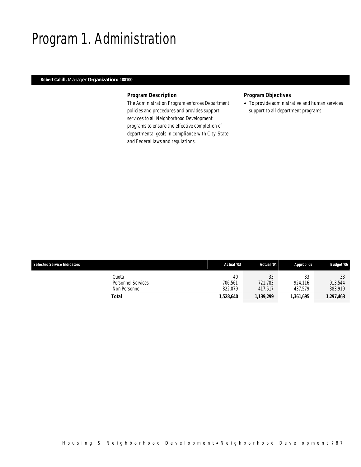# Program 1. Administration

## *Robert Cahill, Manager Organization: 188100*

#### *Program Description*

The Administration Program enforces Department policies and procedures and provides support services to all Neighborhood Development programs to ensure the effective completion of departmental goals in compliance with City, State and Federal laws and regulations.

## *Program Objectives*

• To provide administrative and human services support to all department programs.

| <b>Selected Service Indicators</b> |                                              | Actual '03               | Actual '04               | Approp '05               | <b>Budget '06</b>              |
|------------------------------------|----------------------------------------------|--------------------------|--------------------------|--------------------------|--------------------------------|
|                                    | Quota<br>Personnel Services<br>Non Personnel | 40<br>706.561<br>822.079 | 33<br>721.783<br>417.517 | 33<br>924.116<br>437.579 | 22<br>υJ<br>913.544<br>383,919 |
|                                    | Total                                        | 1.528.640                | 1,139,299                | 1,361,695                | 1,297,463                      |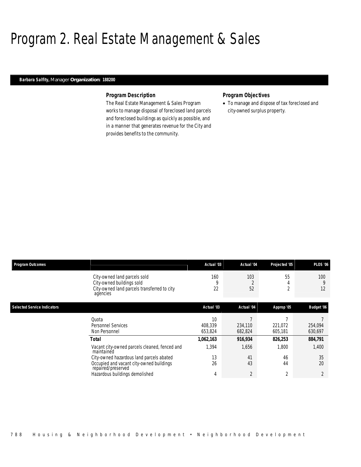## Program 2. Real Estate Management & Sales

#### *Barbara Salfity, Manager Organization: 188200*

#### *Program Description*

The Real Estate Management & Sales Program works to manage disposal of foreclosed land parcels and foreclosed buildings as quickly as possible, and in a manner that generates revenue for the City and provides benefits to the community.

### *Program Objectives*

• To manage and dispose of tax foreclosed and city-owned surplus property.

| <b>Program Outcomes</b>            |                                                                                                                      | Actual '03               | Actual '04         | Projected '05             | <b>PLOS '06</b>    |
|------------------------------------|----------------------------------------------------------------------------------------------------------------------|--------------------------|--------------------|---------------------------|--------------------|
|                                    | City-owned land parcels sold<br>City-owned buildings sold<br>City-owned land parcels transferred to city<br>agencies | 160<br>9<br>22           | 103<br>52          | 55<br>4<br>$\overline{2}$ | 100<br>9<br>12     |
| <b>Selected Service Indicators</b> |                                                                                                                      | Actual '03               | Actual '04         | Approp '05                | Budget '06         |
|                                    | Quota<br><b>Personnel Services</b><br>Non Personnel                                                                  | 10<br>408,339<br>653,824 | 234,110<br>682,824 | 221,072<br>605,181        | 254,094<br>630,697 |
|                                    | <b>Total</b>                                                                                                         | 1,062,163                | 916,934            | 826,253                   | 884,791            |
|                                    | Vacant city-owned parcels cleaned, fenced and<br>maintained                                                          | 1,394                    | 1,656              | 1,800                     | 1,400              |
|                                    | City-owned hazardous land parcels abated<br>Occupied and vacant city-owned buildings<br>repaired/preserved           | 13<br>26                 | 41<br>43           | 46<br>44                  | 35<br>20           |
|                                    | Hazardous buildings demolished                                                                                       | 4                        | $\overline{2}$     | 2                         |                    |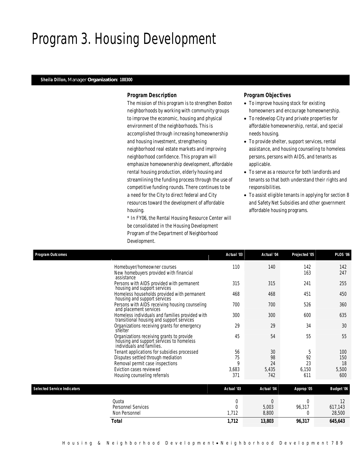## Program 3. Housing Development

#### *Sheila Dillon, Manager Organization: 188300*

#### *Program Description*

The mission of this program is to strengthen Boston neighborhoods by working with community groups to improve the economic, housing and physical environment of the neighborhoods. This is accomplished through increasing homeownership and housing investment, strengthening neighborhood real estate markets and improving neighborhood confidence. This program will emphasize homeownership development, affordable rental housing production, elderly housing and streamlining the funding process through the use of competitive funding rounds. There continues to be a need for the City to direct federal and City resources toward the development of affordable housing.

\* In FY06, the Rental Housing Resource Center will be consolidated in the Housing Development Program of the Department of Neighborhood Development.

## *Program Objectives*

- To improve housing stock for existing homeowners and encourage homeownership.
- To redevelop City and private properties for affordable homeownership, rental, and special needs housing.
- To provide shelter, support services, rental assistance, and housing counseling to homeless persons, persons with AIDS, and tenants as applicable.
- To serve as a resource for both landlords and tenants so that both understand their rights and responsibilities.
- To assist eligible tenants in applying for section 8 and Safety Net Subsidies and other government affordable housing programs.

| <b>Program Outcomes</b>            |                                                                                                                    | Actual '03 | Actual '04 | Projected '05 | <b>PLOS '06</b> |
|------------------------------------|--------------------------------------------------------------------------------------------------------------------|------------|------------|---------------|-----------------|
|                                    | Homebuyer/homeowner courses                                                                                        | 110        | 140        | 142           | 142             |
|                                    | New homebuyers provided with financial<br>assistance                                                               |            |            | 163           | 247             |
|                                    | Persons with AIDS provided with permanent<br>housing and support services                                          | 315        | 315        | 241           | 255             |
|                                    | Homeless households provided with permanent<br>housing and support services                                        | 468        | 468        | 451           | 450             |
|                                    | Persons with AIDS receiving housing counseling<br>and placement services                                           | 700        | 700        | 526           | 360             |
|                                    | Homeless individuals and families provided with<br>transitional housing and support services                       | 300        | 300        | 600           | 635             |
|                                    | Organizations receiving grants for emergency<br>shelter                                                            | 29         | 29         | 34            | 30              |
|                                    | Organizations receiving grants to provide<br>housing and support services to homeless<br>individuals and families. | 45         | 54         | 55            | 55              |
|                                    | Tenant applications for subsidies processed                                                                        | 56         | 30         | 5             | 100             |
|                                    | Disputes settled through mediation                                                                                 | 75         | 98         | 92            | 150             |
|                                    | Removal permit case inspections                                                                                    | 9          | 24         | 23            | 18              |
|                                    | Eviction cases reviewed                                                                                            | 3,683      | 5,435      | 6,150         | 5,500           |
|                                    | Housing counseling referrals                                                                                       | 371        | 742        | 611           | 600             |
| <b>Selected Service Indicators</b> |                                                                                                                    | Actual '03 | Actual '04 | Approp '05    | Budget '06      |
|                                    | Ouota                                                                                                              | 0          | $\Omega$   | $\Omega$      | 12              |
|                                    | Personnel Services                                                                                                 | $\Omega$   | 5,003      | 96,317        | 617,143         |
|                                    | Non Personnel                                                                                                      | 1,712      | 8,800      | $\Omega$      | 28,500          |
|                                    | <b>Total</b>                                                                                                       | 1,712      | 13,803     | 96,317        | 645,643         |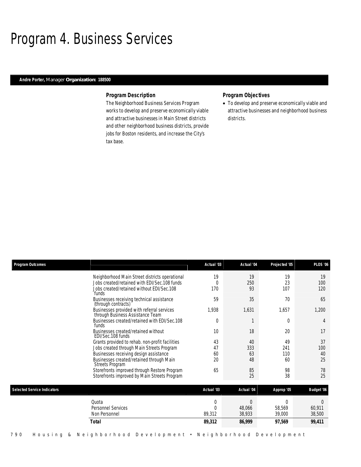## Program 4. Business Services

## *Andre Porter, Manager Organization: 188500*

## *Program Description*

The Neighborhood Business Services Program works to develop and preserve economically viable and attractive businesses in Main Street districts and other neighborhood business districts, provide jobs for Boston residents, and increase the City's tax base.

## *Program Objectives*

• To develop and preserve economically viable and attractive businesses and neighborhood business districts.

| <b>Program Outcomes</b>            |                                                                                | Actual '03     | Actual '04     | Projected '05 | <b>PLOS '06</b> |
|------------------------------------|--------------------------------------------------------------------------------|----------------|----------------|---------------|-----------------|
|                                    | Neighborhood Main Street districts operational                                 | 19             | 19             | 19            | 19              |
|                                    | Jobs created/retained with EDI/Sec.108 funds                                   | $\Omega$       | 250            | 23            | 100             |
|                                    | Jobs created/retained without EDI/Sec.108<br>funds                             | 170            | 93             | 107           | 120             |
|                                    | Businesses receiving technical assistance<br>(through contracts)               | 59             | 35             | 70            | 65              |
|                                    | Businesses provided with referral services<br>through Business Assistance Team | 1,938          | 1,631          | 1,657         | 1,200           |
|                                    | Businesses created/retained with EDI/Sec.108<br>funds                          | $\overline{0}$ |                | $\Omega$      | 4               |
|                                    | Businesses created/retained without<br>EDI/Sec.108 funds                       | 10             | 18             | 20            | 17              |
|                                    | Grants provided to rehab. non-profit facilities                                | 43             | 40             | 49            | 37              |
|                                    | Jobs created through Main Streets Program                                      | 47             | 333            | 241           | 100             |
|                                    | Businesses receiving design assistance                                         | 60             | 63             | 110           | 40              |
|                                    | Businesses created/retained through Main<br><b>Streets Program</b>             | 20             | 48             | 60            | 25              |
|                                    | Storefronts improved through Restore Program                                   | 65             | 85             | 98            | 78              |
|                                    | Storefronts improved by Main Streets Program                                   |                | 25             | 38            | 25              |
| <b>Selected Service Indicators</b> |                                                                                | Actual '03     | Actual '04     | Approp '05    | Budget '06      |
|                                    | Quota                                                                          | $\mathbf{0}$   | $\overline{0}$ | $\Omega$      | $\Omega$        |
|                                    | Personnel Services                                                             | $\Omega$       | 48.066         | 58.569        | 60,911          |
|                                    | Non Personnel                                                                  | 89,312         | 38,933         | 39,000        | 38,500          |
|                                    | <b>Total</b>                                                                   | 89,312         | 86,999         | 97,569        | 99,411          |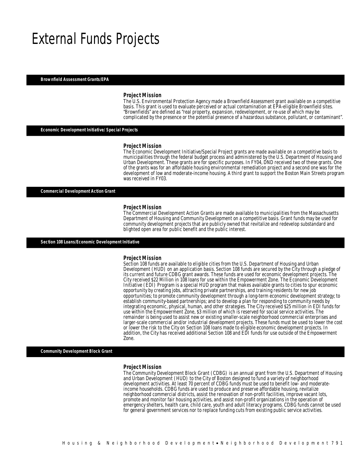## External Funds Projects

#### *Brownfield Assessment Grants/EPA*

## *Project Mission*

The U.S. Environmental Protection Agency made a Brownfield Assessment grant available on a competitive basis. This grant is used to evaluate perceived or actual contamination at EPA-eligible Brownfield sites. "Brownfields" are defined as "real property, expansion, redevelopment, or re-use of which may be complicated by the presence or the potential presence of a hazardous substance, pollutant, or contaminant".

#### *Economic Development Initiative/ Special Projects*

#### *Project Mission*

The Economic Development Initiative/Special Project grants are made available on a competitive basis to municipalities through the federal budget process and administered by the U.S. Department of Housing and Urban Development. These grants are for specific purposes. In FY04, DND received two of these grants. One of the grants was for an affordable housing environmental remediation project and a second one was for the development of low and moderate-income housing. A third grant to support the Boston Main Streets program was received in FY03.

*Commercial Development Action Grant* 

#### *Project Mission*

The Commercial Development Action Grants are made available to municipalities from the Massachusetts Department of Housing and Community Development on a competitive basis. Grant funds may be used for community development projects that are publicly owned that revitalize and redevelop substandard and blighted open area for public benefit and the public interest.

*Section 108 Loans/Economic Development Initiative* 

#### *Project Mission*

Section 108 funds are available to eligible cities from the U.S. Department of Housing and Urban Development (HUD) on an application basis. Section 108 funds are secured by the City through a pledge of its current and future CDBG grant awards. These funds are used for economic development projects. The City received \$22 Million in 108 loans for use within the Empowerment Zone. The Economic Development Initiative (EDI) Program is a special HUD program that makes available grants to cities to spur economic opportunity by creating jobs, attracting private partnerships, and training residents for new job opportunities; to promote community development through a long-term economic development strategy; to establish community-based partnerships; and to develop a plan for responding to community needs by integrating economic, physical, human, and other strategies. The City received \$25 million in EDI funds for use within the Empowerment Zone, \$3 million of which is reserved for social service activities. The remainder is being used to assist new or existing smaller-scale neighborhood commercial enterprises and larger-scale commercial and/or industrial development projects. These funds must be used to lower the cost or lower the risk to the City on Section 108 loans made to eligible economic development projects. In addition, the City has received additional Section 108 and EDI funds for use outside of the Empowerment Zone.

*Community Development Block Grant* 

#### *Project Mission*

The Community Development Block Grant (CDBG) is an annual grant from the U.S. Department of Housing and Urban Development (HUD) to the City of Boston designed to fund a variety of neighborhood development activities. At least 70 percent of CDBG funds must be used to benefit low- and moderateincome households. CDBG funds are used to produce and preserve affordable housing, revitalize neighborhood commercial districts, assist the renovation of non-profit facilities, improve vacant lots, promote and monitor fair housing activities, and assist non-profit organizations in the operation of emergency shelters, health care, child care, youth and adult literacy programs. CDBG funds cannot be used for general government services nor to replace funding cuts from existing public service activities.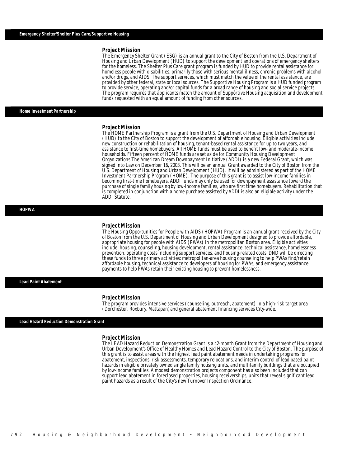#### *Project Mission*

The Emergency Shelter Grant (ESG) is an annual grant to the City of Boston from the U.S. Department of Housing and Urban Development (HUD) to support the development and operations of emergency shelters for the homeless. The Shelter Plus Care grant program is funded by HUD to provide rental assistance for homeless people with disabilities, primarily those with serious mental illness, chronic problems with alcohol and/or drugs, and AIDS. The support services, which must match the value of the rental assistance, are provided by other federal, state or local sources. The Supportive Housing Program is a HUD funded program to provide service, operating and/or capital funds for a broad range of housing and social service projects. The program requires that applicants match the amount of Supportive Housing acquisition and development funds requested with an equal amount of funding from other sources.

#### *Home Investment Partnership*

#### *Project Mission*

The HOME Partnership Program is a grant from the U.S. Department of Housing and Urban Development (HUD) to the City of Boston to support the development of affordable housing. Eligible activities include new construction or rehabilitation of housing, tenant-based rental assistance for up to two years, and assistance to first-time homebuyers. All HOME funds must be used to benefit low- and moderate-income households. Fifteen percent of HOME funds are set aside for Community Housing Development Organizations.The American Dream Downpayment Initiative (ADDI) is a new Federal Grant, which was signed into Law on December 16, 2003. This will be an annual Grant awarded to the City of Boston from the U.S. Department of Housing and Urban Development (HUD). It will be administered as part of the HOME Investment Partnership Program (HOME). The purpose of this grant is to assist low-income families in becoming first-time homebuyers. ADDI funds may only be used for downpayment assistance toward the purchase of single family housing by low-income families, who are first time homebuyers. Rehabilitation that is completed in conjunction with a home purchase assisted by ADDI is also an eligible activity under the ADDI Statute. 

#### *HOPWA*

#### *Project Mission*

The Housing Opportunities for People with AIDS (HOPWA) Program is an annual grant received by the City of Boston from the U.S. Department of Housing and Urban Development designed to provide affordable, appropriate housing for people with AIDS (PWAs) in the metropolitan Boston area. Eligible activities include: housing, counseling, housing development, rental assistance, technical assistance, homelessness prevention, operating costs including support services, and housing-related costs. DND will be directing these funds to three primary activities: metropolitan-area housing counseling to help PWAs find/retain affordable housing, technical assistance to developers of housing for PWAs, and emergency assistance payments to help PWAs retain their existing housing to prevent homelessness.

#### *Lead Paint Abatement*

#### *Project Mission*

Î

The program provides intensive services (counseling, outreach, abatement) in a high-risk target area (Dorchester, Roxbury, Mattapan)and general abatement financing services City-wide.

#### *Lead Hazard Reduction Demonstration Grant*

#### *Project Mission*

The LEAD Hazard Reduction Demonstration Grant is a 42-month Grant from the Department of Housing and Urban Development's Office of Healthy Homes and Lead Hazard Control to the City of Boston. The purpose of this grant is to assist areas with the highest lead paint abatement needs in undertaking programs for abatement, inspections, risk assessments, temporary relocations, and interim control of lead based paint hazards in eligible privately owned single family housing units, and multifamily buildings that are occupied by low-income families. A modest demonstration projects component has also been included that can support lead abatement in foreclosed properties, housing receiverships, units that reveal significant lead paint hazards as a result of the City's new Turnover Inspection Ordinance.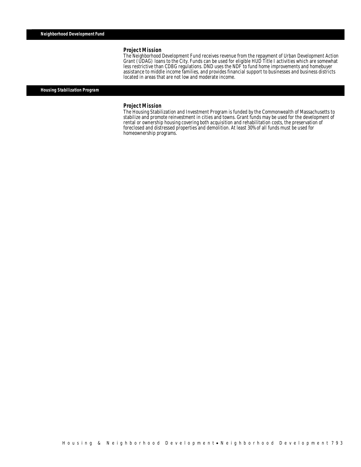## *Project Mission*

The Neighborhood Development Fund receives revenue from the repayment of Urban Development Action Grant (UDAG) loans to the City. Funds can be used for eligible HUD Title I activities which are somewhat less restrictive than CDBG regulations. DND uses the NDF to fund home improvements and homebuyer assistance to middle income families, and provides financial support to businesses and business districts located in areas that are not low and moderate income.

#### *Housing Stabilization Program*

#### *Project Mission*

The Housing Stabilization and Investment Program is funded by the Commonwealth of Massachusetts to stabilize and promote reinvestment in cities and towns. Grant funds may be used for the development of rental or ownership housing covering both acquisition and rehabilitation costs, the preservation of foreclosed and distressed properties and demolition. At least 30% of all funds must be used for homeownership programs.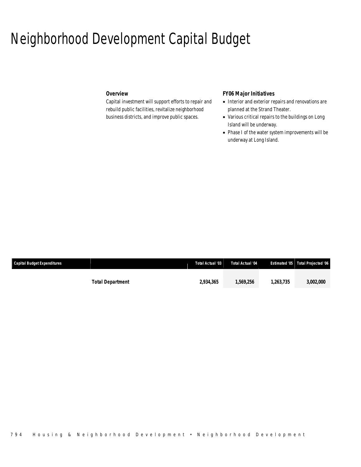## Neighborhood Development Capital Budget

## *Overview*

Capital investment will support efforts to repair and rebuild public facilities, revitalize neighborhood business districts, and improve public spaces.

## *FY06 Major Initiatives*

- Interior and exterior repairs and renovations are planned at the Strand Theater.
- Various critical repairs to the buildings on Long Island will be underway.
- Phase I of the water system improvements will be underway at Long Island.

| <b>Capital Budget Expenditures</b> |                         | Total Actual '03 | Total Actual '04 |           | <b>Estimated '05 Total Projected '06</b> |
|------------------------------------|-------------------------|------------------|------------------|-----------|------------------------------------------|
|                                    |                         |                  |                  |           |                                          |
|                                    | <b>Total Department</b> | 2.934.365        | 1,569,256        | 1,263,735 | <i>3.002.000</i>                         |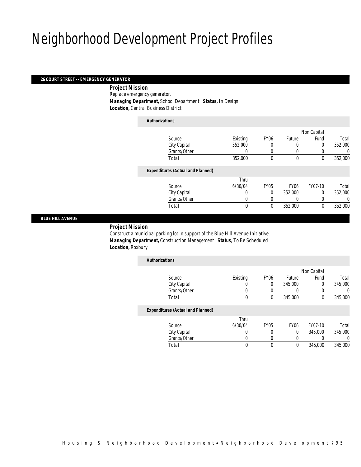#### *26 COURT STREET -- EMERGENCY GENERATOR*

 *Project Mission* Replace emergency generator. *Managing Department,* School Department *Status,* In Design *Location,* Central Business District

## *Authorizations*

|                                          |          |                  |                  | Non Capital |         |
|------------------------------------------|----------|------------------|------------------|-------------|---------|
| Source                                   | Existing | FY <sub>06</sub> | Future           | Fund        | Total   |
| City Capital                             | 352,000  | 0                | 0                | 0           | 352,000 |
| Grants/Other                             | 0        | $\left($         | 0                |             | 0       |
| Total                                    | 352,000  | 0                | $\theta$         | 0           | 352,000 |
| <b>Expenditures (Actual and Planned)</b> |          |                  |                  |             |         |
|                                          | Thru     |                  |                  |             |         |
| Source                                   | 6/30/04  | <b>FY05</b>      | FY <sub>06</sub> | FY07-10     | Total   |
| City Capital                             | 0        | $\Omega$         | 352,000          | 0           | 352,000 |
| Grants/Other                             | 0        |                  |                  |             | 0       |
| Total                                    | 0        | 0                | 352,000          | $\mathbf 0$ | 352,000 |
|                                          |          |                  |                  |             |         |

#### *BLUE HILL AVENUE*

#### *Project Mission*

Construct a municipal parking lot in support of the Blue Hill Avenue Initiative. *Managing Department,* Construction Management *Status,* To Be Scheduled *Location,* Roxbury

| <b>Authorizations</b>                    |                  |             |             |             |         |
|------------------------------------------|------------------|-------------|-------------|-------------|---------|
|                                          |                  |             |             | Non Capital |         |
| Source                                   | Existing         | FY06        | Future      | Fund        | Total   |
| City Capital                             |                  | 0           | 345,000     | 0           | 345,000 |
| Grants/Other                             |                  |             |             |             |         |
| Total                                    | 0                |             | 345,000     | 0           | 345,000 |
| <b>Expenditures (Actual and Planned)</b> |                  |             |             |             |         |
|                                          | Thru             |             |             |             |         |
| Source                                   | 6/30/04          | <b>FY05</b> | <b>FY06</b> | FY07-10     | Total   |
| City Capital                             | $\left( \right)$ | 0           | $\Omega$    | 345,000     | 345,000 |
| Grants/Other                             |                  |             |             |             |         |

Total 0 0 0 345,000 345,000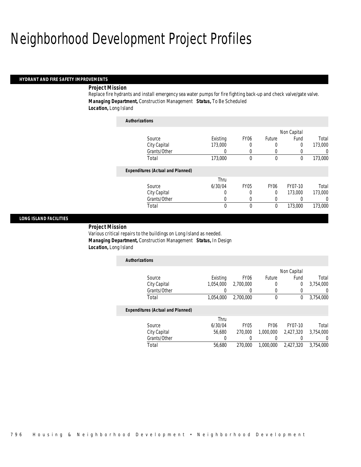#### *HYDRANT AND FIRE SAFETY IMPROVEMENTS*

#### *Project Mission*

Replace fire hydrants and install emergency sea water pumps for fire fighting back-up and check valve/gate valve. *Managing Department,* Construction Management *Status,* To Be Scheduled *Location,* Long Island

| <b>Authorizations</b>                    |          |                  |                  |             |          |
|------------------------------------------|----------|------------------|------------------|-------------|----------|
|                                          |          |                  |                  | Non Capital |          |
| Source                                   | Existing | FY <sub>06</sub> | Future           | Fund        | Total    |
| City Capital                             | 173,000  | 0                | 0                | $\theta$    | 173,000  |
| Grants/Other                             | 0        | 0                | 0                | 0           | 0        |
| Total                                    | 173,000  | 0                | 0                | 0           | 173,000  |
| <b>Expenditures (Actual and Planned)</b> |          |                  |                  |             |          |
|                                          | Thru     |                  |                  |             |          |
| Source                                   | 6/30/04  | <b>FY05</b>      | FY <sub>06</sub> | FY07-10     | Total    |
| City Capital                             | 0        | 0                | 0                | 173,000     | 173,000  |
| Grants/Other                             | 0        | 0                | 0                | 0           | $\Omega$ |
| Total                                    | 0        | 0                | 0                | 173,000     | 173,000  |

#### *LONG ISLAND FACILITIES*

#### *Project Mission*

Various critical repairs to the buildings on Long Island as needed. *Managing Department,* Construction Management *Status,* In Design *Location,* Long Island

| <b>Authorizations</b> |           |                  |        |             |           |
|-----------------------|-----------|------------------|--------|-------------|-----------|
|                       |           |                  |        | Non Capital |           |
| Source                | Existing  | FY <sub>06</sub> | Future | Fund        | Total     |
| City Capital          | 1,054,000 | 2,700,000        |        |             | 3,754,000 |
| Grants/Other          |           |                  |        |             |           |
| Total                 | 1,054,000 | 2,700,000        |        |             | 3,754,000 |

#### *Expenditures (Actual and Planned)*

|              | Thru    |             |           |           |           |
|--------------|---------|-------------|-----------|-----------|-----------|
| Source       | 6/30/04 | <b>FY05</b> | FY06      | FY07-10   | Total     |
| City Capital | 56.680  | 270,000     | 1,000,000 | 2.427.320 | 3,754,000 |
| Grants/Other |         |             |           |           |           |
| Total        | 56.680  | 270.000     | 1,000,000 | 2.427.320 | 3.754.000 |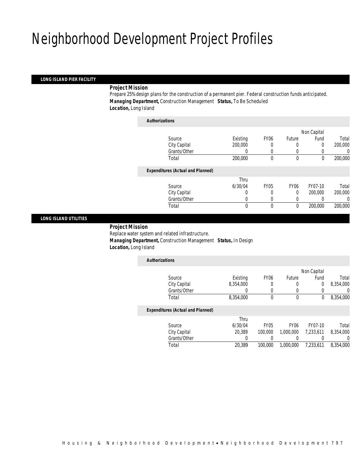#### *LONG ISLAND PIER FACILITY*

#### *Project Mission*

Prepare 25% design plans for the construction of a permanent pier. Federal construction funds anticipated. *Managing Department,* Construction Management *Status,* To Be Scheduled *Location,* Long Island

| <b>Authorizations</b>                    |          |                  |                  |             |          |
|------------------------------------------|----------|------------------|------------------|-------------|----------|
|                                          |          |                  |                  | Non Capital |          |
| Source                                   | Existing | FY <sub>06</sub> | Future           | Fund        | Total    |
| City Capital                             | 200,000  | 0                | 0                | 0           | 200,000  |
| Grants/Other                             | 0        | 0                | 0                |             | $\Omega$ |
| Total                                    | 200,000  | 0                | $\mathbf 0$      | 0           | 200,000  |
| <b>Expenditures (Actual and Planned)</b> |          |                  |                  |             |          |
|                                          | Thru     |                  |                  |             |          |
| Source                                   | 6/30/04  | <b>FY05</b>      | FY <sub>06</sub> | FY07-10     | Total    |
| City Capital                             | 0        | 0                | 0                | 200,000     | 200,000  |
| Grants/Other                             | 0        | 0                | 0                |             | $\Omega$ |
| Total                                    | 0        | 0                | $\mathbf 0$      | 200,000     | 200,000  |

#### *LONG ISLAND UTILITIES*

#### *Project Mission*

Replace water system and related infrastructure.

*Managing Department,* Construction Management *Status,* In Design

*Location,* Long Island

| <b>Authorizations</b>                    |           |                  |                  |             |           |
|------------------------------------------|-----------|------------------|------------------|-------------|-----------|
|                                          |           |                  |                  | Non Capital |           |
| Source                                   | Existing  | FY <sub>06</sub> | Future           | Fund        | Total     |
| City Capital                             | 8,354,000 | 0                | 0                | 0           | 8,354,000 |
| Grants/Other                             | 0         | 0                | $\left( \right)$ |             | 0         |
| Total                                    | 8,354,000 | 0                | 0                | 0           | 8,354,000 |
| <b>Expenditures (Actual and Planned)</b> |           |                  |                  |             |           |
|                                          | Thru      |                  |                  |             |           |
| Source                                   | 6/30/04   | <b>FY05</b>      | FY <sub>06</sub> | FY07-10     | Total     |

| Total         | 20.389        | 100.000 | 1,000,000 | 7,233,611 8,354,000 |        |
|---------------|---------------|---------|-----------|---------------------|--------|
| Grants/Other  |               |         |           |                     |        |
| City Capital  | 20.389        | 100,000 | 1,000,000 | 7,233,611 8,354,000 |        |
| <b>JUULLE</b> | <u>UZJUZU</u> | .       | 1 I VV    | $1101 - 10$         | ι υται |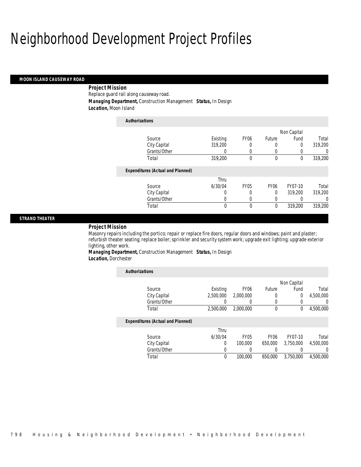#### *MOON ISLAND CAUSEWAY ROAD*

 *Project Mission* Replace guard rail along causeway road. *Managing Department,* Construction Management *Status,* In Design *Location,* Moon Island

| <b>Authorizations</b>                    |          |                  |                  |             |         |
|------------------------------------------|----------|------------------|------------------|-------------|---------|
|                                          |          |                  |                  | Non Capital |         |
| Source                                   | Existing | FY <sub>06</sub> | Future           | Fund        | Total   |
| City Capital                             | 319,200  | 0                | 0                | 0           | 319,200 |
| Grants/Other                             | 0        | 0                | 0                |             | 0       |
| Total                                    | 319,200  | 0                | $\theta$         | $\theta$    | 319,200 |
| <b>Expenditures (Actual and Planned)</b> |          |                  |                  |             |         |
|                                          | Thru     |                  |                  |             |         |
| Source                                   | 6/30/04  | <b>FY05</b>      | FY <sub>06</sub> | FY07-10     | Total   |
| City Capital                             | 0        | 0                | 0                | 319,200     | 319,200 |
| Grants/Other                             | 0        | 0                | 0                |             | 0       |
| Total                                    | 0        | 0                | 0                | 319,200     | 319,200 |

#### *STRAND THEATER*

### *Project Mission*

Masonry repairs including the portico; repair or replace fire doors, regular doors and windows; paint and plaster; refurbish theater seating; replace boiler; sprinkler and security system work; upgrade exit lighting; upgrade exterior lighting, other work.

*Managing Department,* Construction Management *Status,* In Design

| <b>Location</b> , Dorchester |  |
|------------------------------|--|
|                              |  |

| <b>Authorizations</b>                    |           |                  |             |             |                  |
|------------------------------------------|-----------|------------------|-------------|-------------|------------------|
|                                          |           |                  |             | Non Capital |                  |
| Source                                   | Existing  | FY <sub>06</sub> | Future      | Fund        | Total            |
| City Capital                             | 2.500.000 | 2,000,000        | 0           | 0           | 4,500,000        |
| Grants/Other                             |           | $\left( \right)$ | 0           |             | $\left( \right)$ |
| Total                                    | 2.500.000 | 2.000.000        | 0           | 0           | 4,500,000        |
| <b>Expenditures (Actual and Planned)</b> |           |                  |             |             |                  |
|                                          | Thru      |                  |             |             |                  |
| Source                                   | 6/30/04   | <b>FY05</b>      | <b>FY06</b> | FY07-10     | Total            |
| City Capital                             | 0         | 100,000          | 650,000     | 3,750,000   | 4,500,000        |
| Grants/Other                             | 0         |                  |             |             | $\Omega$         |
| Total                                    | 0         | 100,000          | 650,000     | 3,750,000   | 4.500.000        |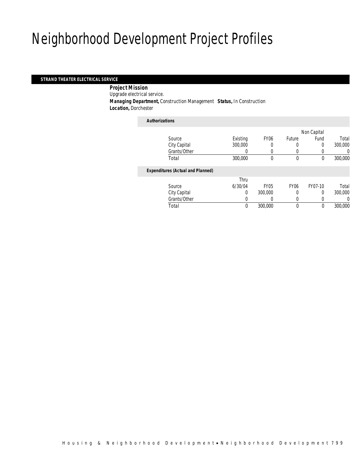## *STRAND THEATER ELECTRICAL SERVICE*

 *Project Mission* Upgrade electrical service. *Managing Department,* Construction Management *Status,* In Construction *Location,* Dorchester

## *Authorizations*

|                                          |          |             |                  | Non Capital |         |
|------------------------------------------|----------|-------------|------------------|-------------|---------|
| Source                                   | Existing | <b>FY06</b> | Future           | Fund        | Total   |
| City Capital                             | 300,000  | 0           | 0                | 0           | 300,000 |
| Grants/Other                             | 0        |             | 0                |             | 0       |
| Total                                    | 300,000  | 0           | $\mathbf 0$      | $\theta$    | 300,000 |
| <b>Expenditures (Actual and Planned)</b> |          |             |                  |             |         |
|                                          | Thru     |             |                  |             |         |
| Source                                   | 6/30/04  | <b>FY05</b> | FY <sub>06</sub> | FY07-10     | Total   |
| City Capital                             | 0        | 300,000     | 0                | 0           | 300,000 |
| Grants/Other                             |          |             | 0                |             | 0       |
| Total                                    | $\theta$ | 300,000     | $\theta$         | $\theta$    | 300,000 |
|                                          |          |             |                  |             |         |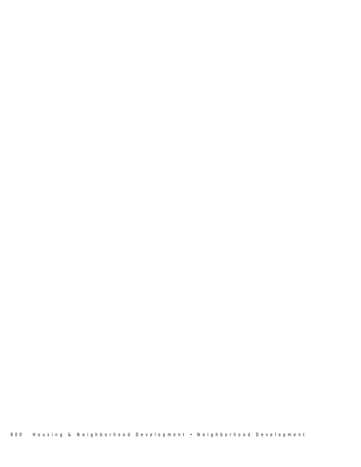800 Housing & Neighborho od Development • Neig hborhood Development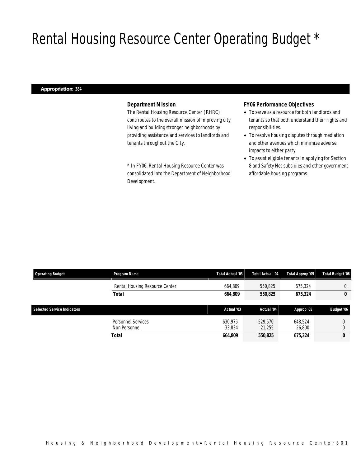# Rental Housing Resource Center Operating Budget \*

#### *Appropriation: 384*

#### *Department Mission*

The Rental Housing Resource Center (RHRC) contributes to the overall mission of improving city living and building stronger neighborhoods by providing assistance and services to landlords and tenants throughout the City.

\* In FY06, Rental Housing Resource Center was consolidated into the Department of Neighborhood Development.

#### *FY06 Performance Objectives*

- To serve as a resource for both landlords and tenants so that both understand their rights and responsibilities.
- To resolve housing disputes through mediation and other avenues which minimize adverse impacts to either party.
- To assist eligible tenants in applying for Section 8 and Safety Net subsidies and other government affordable housing programs.

| <b>Operating Budget</b>            | <b>Program Name</b>                 | Total Actual '03  | Total Actual '04  | Total Approp '05  | Total Budget '06 |
|------------------------------------|-------------------------------------|-------------------|-------------------|-------------------|------------------|
|                                    | Rental Housing Resource Center      | 664.809           | 550,825           | 675,324           | $\Omega$         |
|                                    | Total                               | 664,809           | 550,825           | 675,324           | 0                |
| <b>Selected Service Indicators</b> |                                     | Actual '03        | Actual '04        | Approp '05        | Budget '06       |
|                                    |                                     |                   |                   |                   |                  |
|                                    | Personnel Services<br>Non Personnel | 630.975<br>33.834 | 529.570<br>21,255 | 648.524<br>26,800 |                  |
|                                    | Total                               | 664,809           | 550,825           | 675,324           | 0                |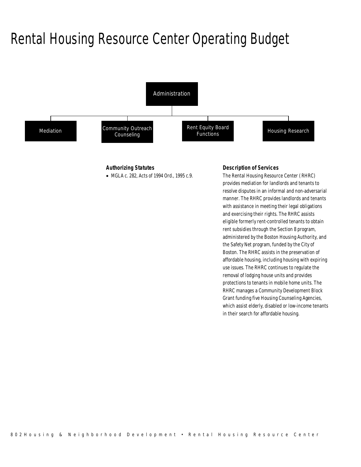# Rental Housing Resource Center Operating Budget



*Authorizing Statutes* 

• MGLA c. 282, Acts of 1994 Ord., 1995 c.9.

#### *Description of Services*

The Rental Housing Resource Center (RHRC) provides mediation for landlords and tenants to resolve disputes in an informal and non-adversarial manner. The RHRC provides landlords and tenants with assistance in meeting their legal obligations and exercising their rights. The RHRC assists eligible formerly rent-controlled tenants to obtain rent subsidies through the Section 8 program, administered by the Boston Housing Authority, and the Safety Net program, funded by the City of Boston. The RHRC assists in the preservation of affordable housing, including housing with expiring use issues. The RHRC continues to regulate the removal of lodging house units and provides protections to tenants in mobile home units. The RHRC manages a Community Development Block Grant funding five Housing Counseling Agencies, which assist elderly, disabled or low-income tenants in their search for affordable housing.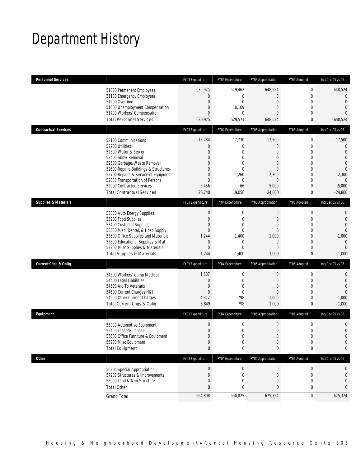# Department History

| <b>Personnel Services</b>       |                                                                                                                                                                                                                                                                                                          | FY03 Expenditure                                                                                                              | FY04 Expenditure                                                                                                            | FY05 Appropriation                                                                                                               | FY06 Adopted                                                                                              | Inc/Dec 05 vs 06                                                                                                                                  |
|---------------------------------|----------------------------------------------------------------------------------------------------------------------------------------------------------------------------------------------------------------------------------------------------------------------------------------------------------|-------------------------------------------------------------------------------------------------------------------------------|-----------------------------------------------------------------------------------------------------------------------------|----------------------------------------------------------------------------------------------------------------------------------|-----------------------------------------------------------------------------------------------------------|---------------------------------------------------------------------------------------------------------------------------------------------------|
|                                 | 51000 Permanent Employees<br>51100 Emergency Employees<br>51200 Overtime<br>51600 Unemployment Compensation<br>51700 Workers' Compensation                                                                                                                                                               | 630,975<br>$\mathbf{0}$<br>$\mathbf{0}$<br>$\mathbf{0}$<br>$\mathbf{0}$                                                       | 519,462<br>$\mathbf{0}$<br>$\theta$<br>10,109<br>$\mathbf{0}$                                                               | 648,524<br>$\mathbf 0$<br>$\mathbf{0}$<br>$\overline{0}$<br>$\Omega$                                                             | $\boldsymbol{0}$<br>$\mathbf 0$<br>$\mathbf 0$<br>$\mathbf 0$<br>$\mathbf{0}$                             | $-648,524$<br>$\overline{0}$<br>$\overline{0}$<br>$\overline{0}$<br>0                                                                             |
|                                 | <b>Total Personnel Services</b>                                                                                                                                                                                                                                                                          | 630,975                                                                                                                       | 529,571                                                                                                                     | 648,524                                                                                                                          | 0                                                                                                         | $-648,524$                                                                                                                                        |
| <b>Contractual Services</b>     |                                                                                                                                                                                                                                                                                                          | FY03 Expenditure                                                                                                              | FY04 Expenditure                                                                                                            | FY05 Appropriation                                                                                                               | FY06 Adopted                                                                                              | Inc/Dec 05 vs 06                                                                                                                                  |
|                                 | 52100 Communications<br>52200 Utilities<br>52300 Water & Sewer<br>52400 Snow Removal<br>52500 Garbage/Waste Removal<br>52600 Repairs Buildings & Structures<br>52700 Repairs & Service of Equipment<br>52800 Transportation of Persons<br>52900 Contracted Services<br><b>Total Contractual Services</b> | 18,284<br>$\mathbf{0}$<br>$\mathbf{0}$<br>$\mathbf{0}$<br>$\Omega$<br>$\Omega$<br>$\Omega$<br>$\mathbf{0}$<br>8,456<br>26,740 | 17,730<br>$\mathbf{0}$<br>$\mathbf{0}$<br>$\mathbf{0}$<br>$\mathbf{0}$<br>$\theta$<br>1,260<br>$\mathbf{0}$<br>66<br>19,056 | 17,500<br>$\overline{0}$<br>$\mathbf{0}$<br>$\mathbf{0}$<br>$\mathbf{0}$<br>$\Omega$<br>2,300<br>$\mathbf{0}$<br>5,000<br>24,800 | 0<br>$\mathbf 0$<br>$\mathbf{0}$<br>$\mathbf{0}$<br>$\mathbf 0$<br>0<br>0<br>$\overline{0}$<br>0<br>0     | $-17,500$<br>$\overline{0}$<br>$\overline{0}$<br>$\overline{0}$<br>$\mathbf 0$<br>$\Omega$<br>$-2,300$<br>$\overline{0}$<br>$-5,000$<br>$-24,800$ |
| <b>Supplies &amp; Materials</b> |                                                                                                                                                                                                                                                                                                          | FY03 Expenditure                                                                                                              | FY04 Expenditure                                                                                                            | FY05 Appropriation                                                                                                               | FY06 Adopted                                                                                              | Inc/Dec 05 vs 06                                                                                                                                  |
|                                 | 53000 Auto Energy Supplies<br>53200 Food Supplies<br>53400 Custodial Supplies<br>53500 Med, Dental, & Hosp Supply<br>53600 Office Supplies and Materials<br>53800 Educational Supplies & Mat<br>53900 Misc Supplies & Materials<br><b>Total Supplies &amp; Materials</b>                                 | $\mathbf{0}$<br>$\mathbf{0}$<br>$\mathbf{0}$<br>$\mathbf{0}$<br>1,244<br>$\mathbf{0}$<br>$\overline{0}$<br>1,244              | $\mathbf 0$<br>$\mathbf{0}$<br>0<br>$\mathbf{0}$<br>1,400<br>$\mathbf{0}$<br>$\mathbf{0}$<br>1,400                          | $\boldsymbol{0}$<br>$\mathbf{0}$<br>$\mathbf{0}$<br>$\overline{0}$<br>1,000<br>$\mathbf{0}$<br>$\overline{0}$<br>1,000           | $\mathbf 0$<br>$\mathbf 0$<br>$\overline{0}$<br>$\mathbf 0$<br>$\overline{0}$<br>0<br>$\overline{0}$<br>0 | 0<br>0<br>0<br>$\mathbf 0$<br>$-1,000$<br>$\theta$<br>$\overline{0}$<br>$-1,000$                                                                  |
| <b>Current Chgs &amp; Oblig</b> |                                                                                                                                                                                                                                                                                                          | FY03 Expenditure                                                                                                              | FY04 Expenditure                                                                                                            | FY05 Appropriation                                                                                                               | FY06 Adopted                                                                                              | Inc/Dec 05 vs 06                                                                                                                                  |
|                                 | 54300 Workers' Comp Medical<br>54400 Legal Liabilities<br>54500 Aid To Veterans<br>54600 Current Charges H&I<br>54900 Other Current Charges<br>Total Current Chgs & Oblig                                                                                                                                | 1,537<br>$\mathbf{0}$<br>$\mathbf{0}$<br>$\mathbf{0}$<br>4,312<br>5,849                                                       | $\boldsymbol{0}$<br>$\mathbf{0}$<br>$\mathbf{0}$<br>$\mathbf{0}$<br>798<br>798                                              | $\boldsymbol{0}$<br>$\mathbf{0}$<br>$\mathbf{0}$<br>$\overline{0}$<br>1,000<br>1,000                                             | 0<br>$\mathbf 0$<br>$\overline{0}$<br>$\overline{0}$<br>$\mathbf 0$<br>0                                  | 0<br>$\mathbf 0$<br>$\overline{0}$<br>$\Omega$<br>$-1,000$<br>$-1,000$                                                                            |
| Equipment                       |                                                                                                                                                                                                                                                                                                          | FY03 Expenditure                                                                                                              | FY04 Expenditure                                                                                                            | FY05 Appropriation                                                                                                               | FY06 Adopted                                                                                              | Inc/Dec 05 vs 06                                                                                                                                  |
|                                 | 55000 Automotive Equipment<br>55400 Lease/Purchase<br>55600 Office Furniture & Equipment<br>55900 Misc Equipment<br><b>Total Equipment</b>                                                                                                                                                               | $\mathbf 0$<br>$\mathbf 0$<br>$\Omega$<br>$\mathbf 0$<br>$\mathbf{0}$                                                         | $\mathbf 0$<br>$\mathbf{0}$<br>$\Omega$<br>$\mathbf{0}$<br>0                                                                | $\boldsymbol{0}$<br>$\boldsymbol{0}$<br>$\Omega$<br>$\mathbf 0$<br>0                                                             | $\boldsymbol{0}$<br>$\boldsymbol{0}$<br>$\cap$<br>$\mathbf 0$<br>0                                        | 0<br>$\overline{0}$<br>$\Omega$<br>0<br>0                                                                                                         |
| <b>Other</b>                    |                                                                                                                                                                                                                                                                                                          | FY03 Expenditure                                                                                                              | FY04 Expenditure                                                                                                            | FY05 Appropriation                                                                                                               | FY06 Adopted                                                                                              | Inc/Dec 05 vs 06                                                                                                                                  |
|                                 | 56200 Special Appropriation<br>57200 Structures & Improvements<br>58000 Land & Non-Structure<br><b>Total Other</b>                                                                                                                                                                                       | $\boldsymbol{0}$<br>$\mathbf{0}$<br>$\mathbf{0}$<br>$\bf{0}$                                                                  | $\mathbf 0$<br>$\mathbf{0}$<br>$\mathbf{0}$<br>0                                                                            | $\boldsymbol{0}$<br>$\mathbf 0$<br>0<br>0                                                                                        | $\boldsymbol{0}$<br>$\mathbf 0$<br>0<br>0                                                                 | 0<br>0<br>0<br>0                                                                                                                                  |
|                                 | <b>Grand Total</b>                                                                                                                                                                                                                                                                                       | 664,808                                                                                                                       | 550,825                                                                                                                     | 675,324                                                                                                                          | 0                                                                                                         | $-675,324$                                                                                                                                        |